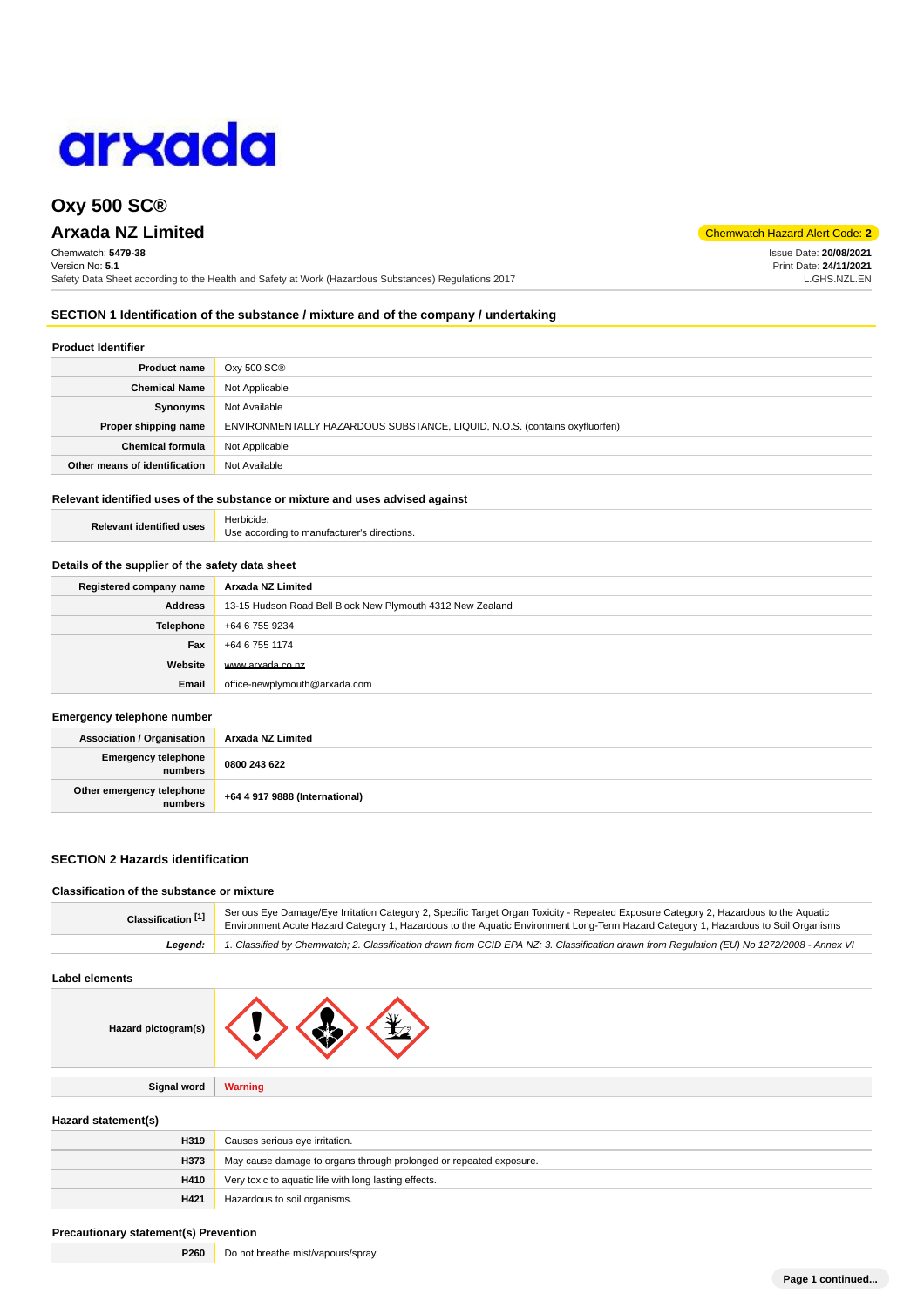

## **Oxy 500 SC®**

# **Arxada NZ Limited** Code: **2**

Chemwatch: **5479-38** Version No: **5.1** Safety Data Sheet according to the Health and Safety at Work (Hazardous Substances) Regulations 2017

**SECTION 1 Identification of the substance / mixture and of the company / undertaking**

#### **Product Identifier**

| <b>Product name</b>           | Oxy 500 SC®                                                                |
|-------------------------------|----------------------------------------------------------------------------|
| <b>Chemical Name</b>          | Not Applicable                                                             |
| Synonyms                      | Not Available                                                              |
| Proper shipping name          | ENVIRONMENTALLY HAZARDOUS SUBSTANCE, LIQUID, N.O.S. (contains oxyfluorfen) |
| <b>Chemical formula</b>       | Not Applicable                                                             |
| Other means of identification | Not Available                                                              |

## **Relevant identified uses of the substance or mixture and uses advised against**

| <b>Relevant identified uses</b> | Herbicide.                                  |
|---------------------------------|---------------------------------------------|
|                                 | Use according to manufacturer's directions. |

#### **Details of the supplier of the safety data sheet**

| Registered company name | Arxada NZ Limited                                          |
|-------------------------|------------------------------------------------------------|
| <b>Address</b>          | 13-15 Hudson Road Bell Block New Plymouth 4312 New Zealand |
| <b>Telephone</b>        | +64 6 755 9234                                             |
| Fax                     | +64 6 755 1174                                             |
| Website                 | www.arxada.co.nz                                           |
| Email                   | office-newplymouth@arxada.com                              |

#### **Emergency telephone number**

| <b>Association / Organisation</b>    | Arxada NZ Limited              |
|--------------------------------------|--------------------------------|
| Emergency telephone<br>numbers       | 0800 243 622                   |
| Other emergency telephone<br>numbers | +64 4 917 9888 (International) |

## **SECTION 2 Hazards identification**

#### **Classification of the substance or mixture**

| Classification <sup>[1]</sup> | Serious Eye Damage/Eye Irritation Category 2, Specific Target Organ Toxicity - Repeated Exposure Category 2, Hazardous to the Aquatic<br>Environment Acute Hazard Category 1, Hazardous to the Aquatic Environment Long-Term Hazard Category 1, Hazardous to Soil Organisms |  |
|-------------------------------|-----------------------------------------------------------------------------------------------------------------------------------------------------------------------------------------------------------------------------------------------------------------------------|--|
| Leaend:                       | 1. Classified by Chemwatch; 2. Classification drawn from CCID EPA NZ; 3. Classification drawn from Requlation (EU) No 1272/2008 - Annex VI                                                                                                                                  |  |

## **Label elements**

| Hazard pictogram(s) | ۰Y             |
|---------------------|----------------|
|                     |                |
| <b>Signal word</b>  | <b>Warning</b> |

#### **Hazard statement(s)**

| H319 | Causes serious eye irritation.                                     |
|------|--------------------------------------------------------------------|
| H373 | May cause damage to organs through prolonged or repeated exposure. |
| H410 | Very toxic to aquatic life with long lasting effects.              |
| H421 | Hazardous to soil organisms.                                       |

### **Precautionary statement(s) Prevention**

| P260 | Do not breathe mist/vapours/spray. |
|------|------------------------------------|
|------|------------------------------------|

Issue Date: **20/08/2021** Print Date: **24/11/2021** L.GHS.NZL.EN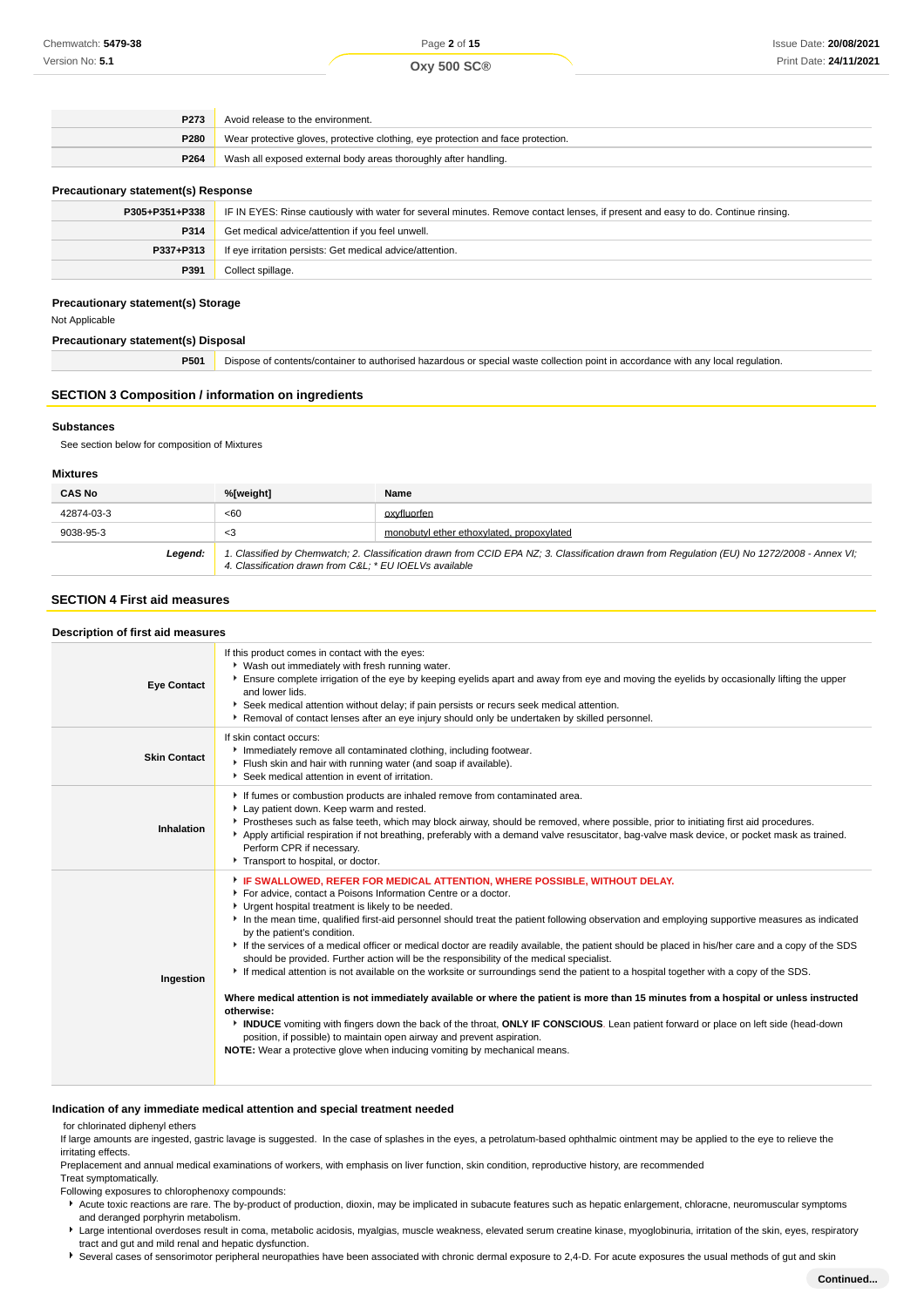| P <sub>273</sub> | Avoid release to the environment.                                                |
|------------------|----------------------------------------------------------------------------------|
| <b>P280</b>      | Wear protective gloves, protective clothing, eye protection and face protection. |
| P264             | Wash all exposed external body areas thoroughly after handling.                  |

#### **Precautionary statement(s) Response**

| P305+P351+P338 | IF IN EYES: Rinse cautiously with water for several minutes. Remove contact lenses, if present and easy to do. Continue rinsing. |
|----------------|----------------------------------------------------------------------------------------------------------------------------------|
| P314           | Get medical advice/attention if you feel unwell.                                                                                 |
| P337+P313      | If eye irritation persists: Get medical advice/attention.                                                                        |
| P391           | Collect spillage.                                                                                                                |

#### **Precautionary statement(s) Storage**

Not Applicable

**Precautionary statement(s) Disposal**

**P501** Dispose of contents/container to authorised hazardous or special waste collection point in accordance with any local regulation.

#### **SECTION 3 Composition / information on ingredients**

#### **Substances**

See section below for composition of Mixtures

#### **Mixtures**

| <b>CAS No</b> | %[weight]                                                                                                                                                                                              | Name                                      |
|---------------|--------------------------------------------------------------------------------------------------------------------------------------------------------------------------------------------------------|-------------------------------------------|
| 42874-03-3    | <60                                                                                                                                                                                                    | oxyfluorfen                               |
| 9038-95-3     | <3                                                                                                                                                                                                     | monobutyl ether ethoxylated, propoxylated |
| Legend:       | 1. Classified by Chemwatch; 2. Classification drawn from CCID EPA NZ; 3. Classification drawn from Regulation (EU) No 1272/2008 - Annex VI;<br>4. Classification drawn from C&L * EU IOEL Vs available |                                           |

#### **SECTION 4 First aid measures**

#### **Description of first aid measures**

| <b>Eye Contact</b>  | If this product comes in contact with the eyes:<br>▶ Wash out immediately with fresh running water.<br>Ensure complete irrigation of the eye by keeping eyelids apart and away from eye and moving the eyelids by occasionally lifting the upper<br>and lower lids.<br>Seek medical attention without delay; if pain persists or recurs seek medical attention.<br>▶ Removal of contact lenses after an eye injury should only be undertaken by skilled personnel.                                                                                                                                                                                                                                                                                                                                                                                                                                                                                                                                                                                                                                                                                                                                                                     |
|---------------------|----------------------------------------------------------------------------------------------------------------------------------------------------------------------------------------------------------------------------------------------------------------------------------------------------------------------------------------------------------------------------------------------------------------------------------------------------------------------------------------------------------------------------------------------------------------------------------------------------------------------------------------------------------------------------------------------------------------------------------------------------------------------------------------------------------------------------------------------------------------------------------------------------------------------------------------------------------------------------------------------------------------------------------------------------------------------------------------------------------------------------------------------------------------------------------------------------------------------------------------|
| <b>Skin Contact</b> | If skin contact occurs:<br>Immediately remove all contaminated clothing, including footwear.<br>Flush skin and hair with running water (and soap if available).<br>Seek medical attention in event of irritation.                                                                                                                                                                                                                                                                                                                                                                                                                                                                                                                                                                                                                                                                                                                                                                                                                                                                                                                                                                                                                      |
| Inhalation          | If fumes or combustion products are inhaled remove from contaminated area.<br>Lay patient down. Keep warm and rested.<br>▶ Prostheses such as false teeth, which may block airway, should be removed, where possible, prior to initiating first aid procedures.<br>Apply artificial respiration if not breathing, preferably with a demand valve resuscitator, bag-valve mask device, or pocket mask as trained.<br>Perform CPR if necessary.<br>Transport to hospital, or doctor.                                                                                                                                                                                                                                                                                                                                                                                                                                                                                                                                                                                                                                                                                                                                                     |
| Ingestion           | F IF SWALLOWED, REFER FOR MEDICAL ATTENTION, WHERE POSSIBLE, WITHOUT DELAY.<br>For advice, contact a Poisons Information Centre or a doctor.<br>Urgent hospital treatment is likely to be needed.<br>In the mean time, qualified first-aid personnel should treat the patient following observation and employing supportive measures as indicated<br>by the patient's condition.<br>If the services of a medical officer or medical doctor are readily available, the patient should be placed in his/her care and a copy of the SDS<br>should be provided. Further action will be the responsibility of the medical specialist.<br>If medical attention is not available on the worksite or surroundings send the patient to a hospital together with a copy of the SDS.<br>Where medical attention is not immediately available or where the patient is more than 15 minutes from a hospital or unless instructed<br>otherwise:<br>INDUCE vomiting with fingers down the back of the throat, ONLY IF CONSCIOUS. Lean patient forward or place on left side (head-down<br>position, if possible) to maintain open airway and prevent aspiration.<br><b>NOTE:</b> Wear a protective glove when inducing vomiting by mechanical means. |

#### **Indication of any immediate medical attention and special treatment needed**

for chlorinated diphenyl ethers

If large amounts are ingested, gastric lavage is suggested. In the case of splashes in the eyes, a petrolatum-based ophthalmic ointment may be applied to the eye to relieve the irritating effects.

Preplacement and annual medical examinations of workers, with emphasis on liver function, skin condition, reproductive history, are recommended

Treat symptomatically.

Following exposures to chlorophenoxy compounds:

\* Acute toxic reactions are rare. The by-product of production, dioxin, may be implicated in subacute features such as hepatic enlargement, chloracne, neuromuscular symptoms and deranged porphyrin metabolism.

▶ Large intentional overdoses result in coma, metabolic acidosis, myalgias, muscle weakness, elevated serum creatine kinase, myoglobinuria, irritation of the skin, eyes, respiratory tract and gut and mild renal and hepatic dysfunction.

Several cases of sensorimotor peripheral neuropathies have been associated with chronic dermal exposure to 2,4-D. For acute exposures the usual methods of gut and skin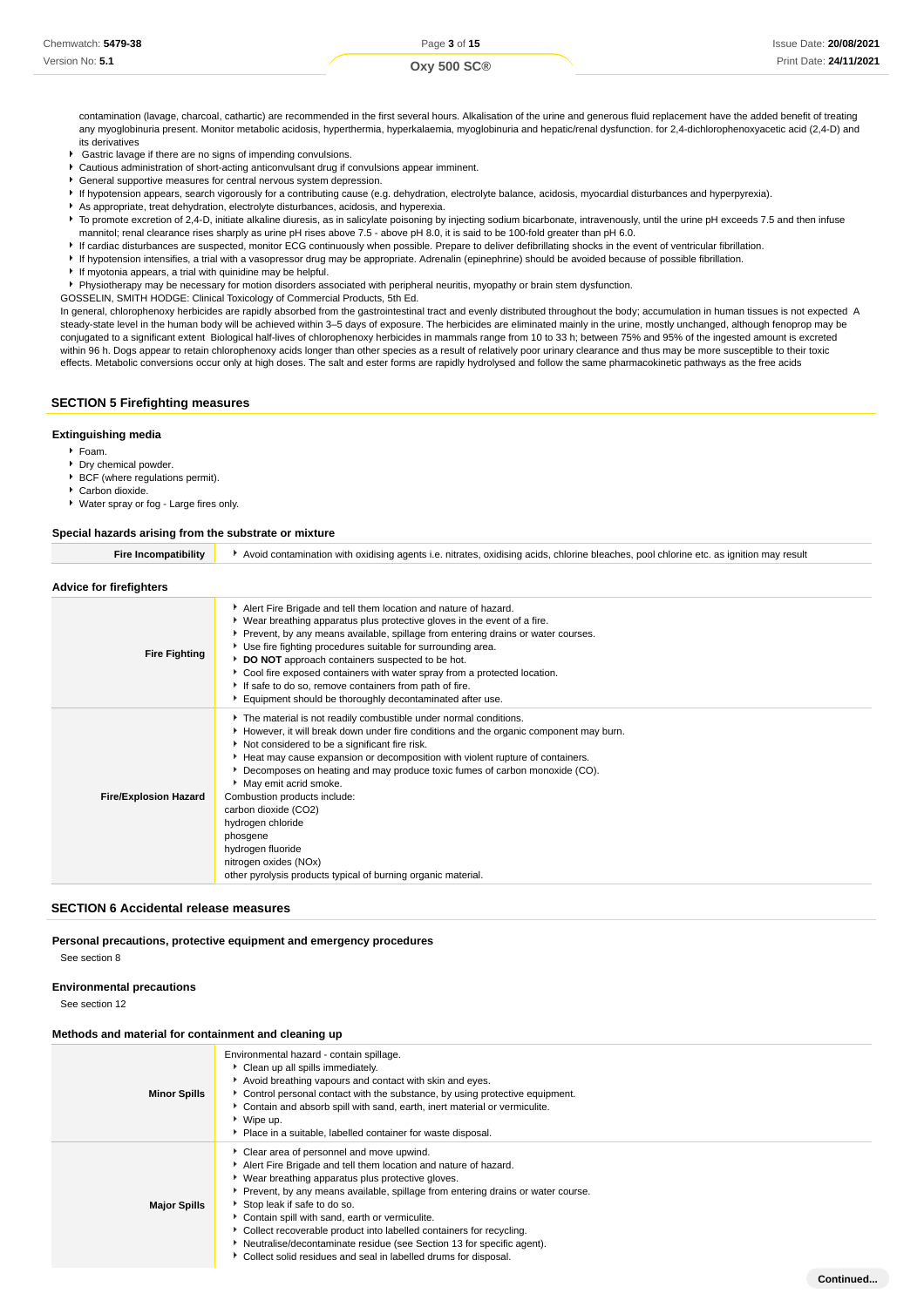**Continued...**

contamination (lavage, charcoal, cathartic) are recommended in the first several hours. Alkalisation of the urine and generous fluid replacement have the added benefit of treating any myoglobinuria present. Monitor metabolic acidosis, hyperthermia, hyperkalaemia, myoglobinuria and hepatic/renal dysfunction. for 2,4-dichlorophenoxyacetic acid (2,4-D) and its derivatives

- Gastric lavage if there are no signs of impending convulsions.
- Cautious administration of short-acting anticonvulsant drug if convulsions appear imminent.
- General supportive measures for central nervous system depression.
- If hypotension appears, search vigorously for a contributing cause (e.g. dehydration, electrolyte balance, acidosis, myocardial disturbances and hyperpyrexia).
- As appropriate, treat dehydration, electrolyte disturbances, acidosis, and hyperexia.
- ▶ To promote excretion of 2,4-D, initiate alkaline diuresis, as in salicylate poisoning by injecting sodium bicarbonate, intravenously, until the urine pH exceeds 7.5 and then infuse mannitol; renal clearance rises sharply as urine pH rises above 7.5 - above pH 8.0, it is said to be 100-fold greater than pH 6.0.
- If cardiac disturbances are suspected, monitor ECG continuously when possible. Prepare to deliver defibrillating shocks in the event of ventricular fibrillation.
- If hypotension intensifies, a trial with a vasopressor drug may be appropriate. Adrenalin (epinephrine) should be avoided because of possible fibrillation.
- If myotonia appears, a trial with quinidine may be helpful.

Physiotherapy may be necessary for motion disorders associated with peripheral neuritis, myopathy or brain stem dysfunction.

GOSSELIN, SMITH HODGE: Clinical Toxicology of Commercial Products, 5th Ed.

In general, chlorophenoxy herbicides are rapidly absorbed from the gastrointestinal tract and evenly distributed throughout the body; accumulation in human tissues is not expected A steady-state level in the human body will be achieved within 3–5 days of exposure. The herbicides are eliminated mainly in the urine, mostly unchanged, although fenoprop may be conjugated to a significant extent Biological half-lives of chlorophenoxy herbicides in mammals range from 10 to 33 h; between 75% and 95% of the ingested amount is excreted within 96 h. Dogs appear to retain chlorophenoxy acids longer than other species as a result of relatively poor urinary clearance and thus may be more susceptible to their toxic effects. Metabolic conversions occur only at high doses. The salt and ester forms are rapidly hydrolysed and follow the same pharmacokinetic pathways as the free acids

#### **SECTION 5 Firefighting measures**

#### **Extinguishing media**

- $F_{\text{Oam}}$
- **P** Dry chemical powder.
- BCF (where regulations permit).
- Carbon dioxide.
- Water spray or fog Large fires only.

## **Special hazards arising from the substrate or mixture**

| <b>Fire Incompatibility</b>  | Avoid contamination with oxidising agents i.e. nitrates, oxidising acids, chlorine bleaches, pool chlorine etc. as ignition may result                                                                                                                                                                                                                                                                                                                                                                                                                                                                     |  |  |
|------------------------------|------------------------------------------------------------------------------------------------------------------------------------------------------------------------------------------------------------------------------------------------------------------------------------------------------------------------------------------------------------------------------------------------------------------------------------------------------------------------------------------------------------------------------------------------------------------------------------------------------------|--|--|
| Advice for firefighters      |                                                                                                                                                                                                                                                                                                                                                                                                                                                                                                                                                                                                            |  |  |
| <b>Fire Fighting</b>         | Alert Fire Brigade and tell them location and nature of hazard.<br>Wear breathing apparatus plus protective gloves in the event of a fire.<br>Prevent, by any means available, spillage from entering drains or water courses.<br>Use fire fighting procedures suitable for surrounding area.<br>DO NOT approach containers suspected to be hot.<br>Cool fire exposed containers with water spray from a protected location.<br>If safe to do so, remove containers from path of fire.<br>Equipment should be thoroughly decontaminated after use.                                                         |  |  |
| <b>Fire/Explosion Hazard</b> | The material is not readily combustible under normal conditions.<br>However, it will break down under fire conditions and the organic component may burn.<br>Not considered to be a significant fire risk.<br>Heat may cause expansion or decomposition with violent rupture of containers.<br>Decomposes on heating and may produce toxic fumes of carbon monoxide (CO).<br>May emit acrid smoke.<br>Combustion products include:<br>carbon dioxide (CO2)<br>hydrogen chloride<br>phosgene<br>hydrogen fluoride<br>nitrogen oxides (NOx)<br>other pyrolysis products typical of burning organic material. |  |  |

#### **SECTION 6 Accidental release measures**

#### **Personal precautions, protective equipment and emergency procedures**

See section 8

#### **Environmental precautions**

See section 12

#### **Methods and material for containment and cleaning up**

| <b>Minor Spills</b> | Environmental hazard - contain spillage.<br>Clean up all spills immediately.<br>Avoid breathing vapours and contact with skin and eyes.<br>► Control personal contact with the substance, by using protective equipment.<br>Contain and absorb spill with sand, earth, inert material or vermiculite.<br>Wipe up.<br>Place in a suitable, labelled container for waste disposal.                                                                                                                                                                             |
|---------------------|--------------------------------------------------------------------------------------------------------------------------------------------------------------------------------------------------------------------------------------------------------------------------------------------------------------------------------------------------------------------------------------------------------------------------------------------------------------------------------------------------------------------------------------------------------------|
| <b>Major Spills</b> | • Clear area of personnel and move upwind.<br>Alert Fire Brigade and tell them location and nature of hazard.<br>▶ Wear breathing apparatus plus protective gloves.<br>Prevent, by any means available, spillage from entering drains or water course.<br>Stop leak if safe to do so.<br>Contain spill with sand, earth or vermiculite.<br>Collect recoverable product into labelled containers for recycling.<br>Neutralise/decontaminate residue (see Section 13 for specific agent).<br>• Collect solid residues and seal in labelled drums for disposal. |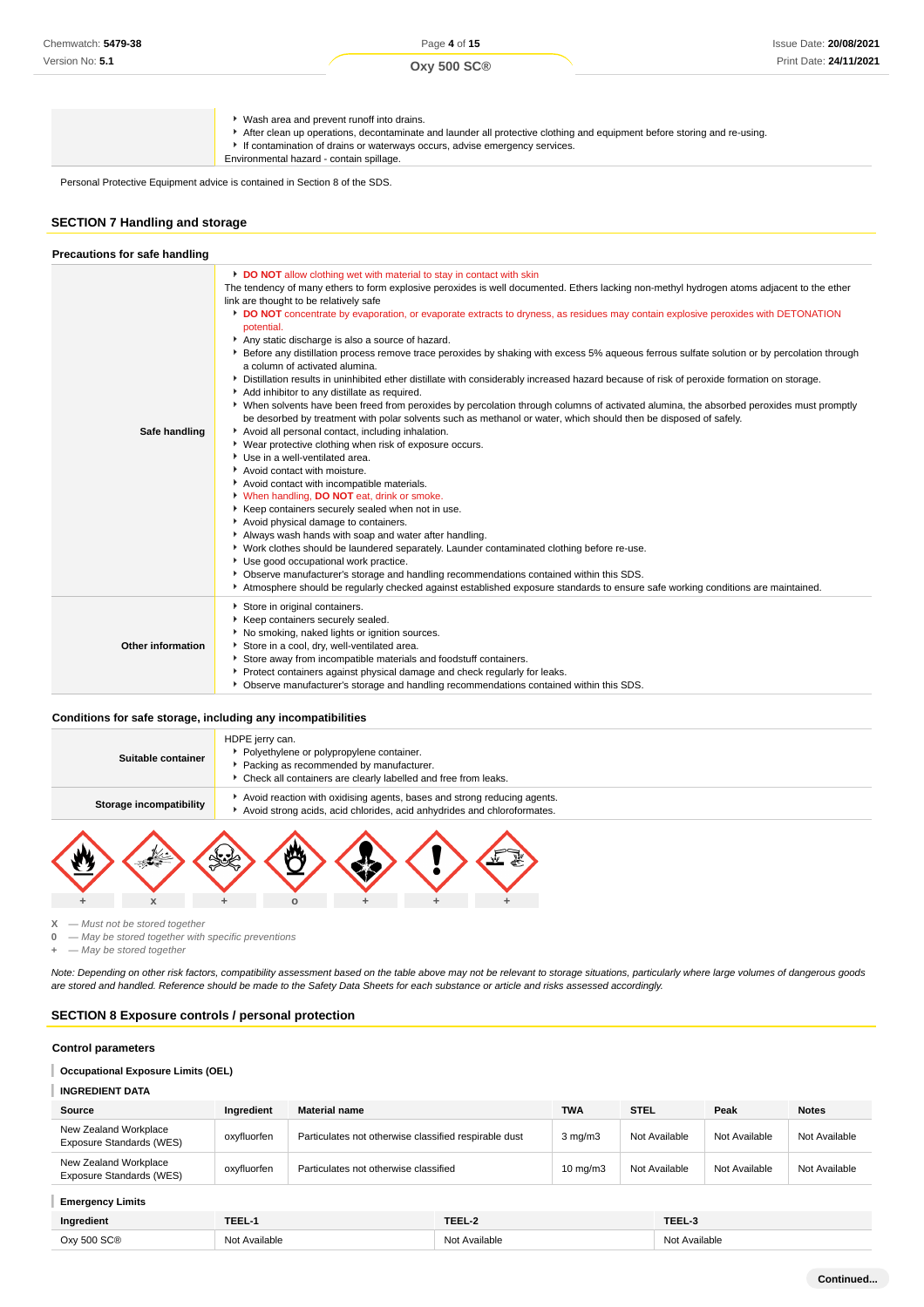**Oxy 500 SC®**

Wash area and prevent runoff into drains. After clean up operations, decontaminate and launder all protective clothing and equipment before storing and re-using. If contamination of drains or waterways occurs, advise emergency services. Environmental hazard - contain spillage.

Personal Protective Equipment advice is contained in Section 8 of the SDS.

## **SECTION 7 Handling and storage**

| Precautions for safe handling |                                                                                                                                                                                                                                                                                                                                                                                                                                                                                                                                                                                                                                                                                                                                                                                                                                                                                                                                                                                                                                                                                                                                                                                                                                                                                                                                                                                                                                                                                                                                                                                                                                                                                                                                                                                                                                                                                                                                |
|-------------------------------|--------------------------------------------------------------------------------------------------------------------------------------------------------------------------------------------------------------------------------------------------------------------------------------------------------------------------------------------------------------------------------------------------------------------------------------------------------------------------------------------------------------------------------------------------------------------------------------------------------------------------------------------------------------------------------------------------------------------------------------------------------------------------------------------------------------------------------------------------------------------------------------------------------------------------------------------------------------------------------------------------------------------------------------------------------------------------------------------------------------------------------------------------------------------------------------------------------------------------------------------------------------------------------------------------------------------------------------------------------------------------------------------------------------------------------------------------------------------------------------------------------------------------------------------------------------------------------------------------------------------------------------------------------------------------------------------------------------------------------------------------------------------------------------------------------------------------------------------------------------------------------------------------------------------------------|
| Safe handling                 | DO NOT allow clothing wet with material to stay in contact with skin<br>The tendency of many ethers to form explosive peroxides is well documented. Ethers lacking non-methyl hydrogen atoms adjacent to the ether<br>link are thought to be relatively safe<br>DO NOT concentrate by evaporation, or evaporate extracts to dryness, as residues may contain explosive peroxides with DETONATION<br>potential.<br>Any static discharge is also a source of hazard.<br>▶ Before any distillation process remove trace peroxides by shaking with excess 5% aqueous ferrous sulfate solution or by percolation through<br>a column of activated alumina.<br>Distillation results in uninhibited ether distillate with considerably increased hazard because of risk of peroxide formation on storage.<br>Add inhibitor to any distillate as required.<br>• When solvents have been freed from peroxides by percolation through columns of activated alumina, the absorbed peroxides must promptly<br>be desorbed by treatment with polar solvents such as methanol or water, which should then be disposed of safely.<br>Avoid all personal contact, including inhalation.<br>• Wear protective clothing when risk of exposure occurs.<br>Use in a well-ventilated area.<br>Avoid contact with moisture.<br>Avoid contact with incompatible materials.<br>V When handling, DO NOT eat, drink or smoke.<br>Keep containers securely sealed when not in use.<br>Avoid physical damage to containers.<br>Always wash hands with soap and water after handling.<br>• Work clothes should be laundered separately. Launder contaminated clothing before re-use.<br>Use good occupational work practice.<br>▶ Observe manufacturer's storage and handling recommendations contained within this SDS.<br>Atmosphere should be regularly checked against established exposure standards to ensure safe working conditions are maintained. |
| <b>Other information</b>      | Store in original containers.<br>Keep containers securely sealed.<br>No smoking, naked lights or ignition sources.<br>Store in a cool, dry, well-ventilated area.<br>Store away from incompatible materials and foodstuff containers.<br>Protect containers against physical damage and check regularly for leaks.<br>• Observe manufacturer's storage and handling recommendations contained within this SDS.                                                                                                                                                                                                                                                                                                                                                                                                                                                                                                                                                                                                                                                                                                                                                                                                                                                                                                                                                                                                                                                                                                                                                                                                                                                                                                                                                                                                                                                                                                                 |

#### **Conditions for safe storage, including any incompatibilities**



**X** — Must not be stored together

**0** — May be stored together with specific preventions

**+** — May be stored together

Note: Depending on other risk factors, compatibility assessment based on the table above may not be relevant to storage situations, particularly where large volumes of dangerous goods are stored and handled. Reference should be made to the Safety Data Sheets for each substance or article and risks assessed accordingly.

#### **SECTION 8 Exposure controls / personal protection**

#### **Control parameters**

#### T **Occupational Exposure Limits (OEL)**

#### **INGREDIENT DATA** I

| Source                                            | Ingredient  | <b>Material name</b>                                  | <b>TWA</b>        | <b>STEL</b>   | Peak          | <b>Notes</b>  |
|---------------------------------------------------|-------------|-------------------------------------------------------|-------------------|---------------|---------------|---------------|
| New Zealand Workplace<br>Exposure Standards (WES) | oxyfluorfen | Particulates not otherwise classified respirable dust | $3$ mg/m $3$      | Not Available | Not Available | Not Available |
| New Zealand Workplace<br>Exposure Standards (WES) | oxyfluorfen | Particulates not otherwise classified                 | $10 \text{ mg/m}$ | Not Available | Not Available | Not Available |

| <b>Emergency Limits</b> |               |               |               |
|-------------------------|---------------|---------------|---------------|
| Ingredient              | TEEL-1        | TEEL-2        | TEEL-3        |
| Oxy 500 SC®             | Not Available | Not Available | Not Available |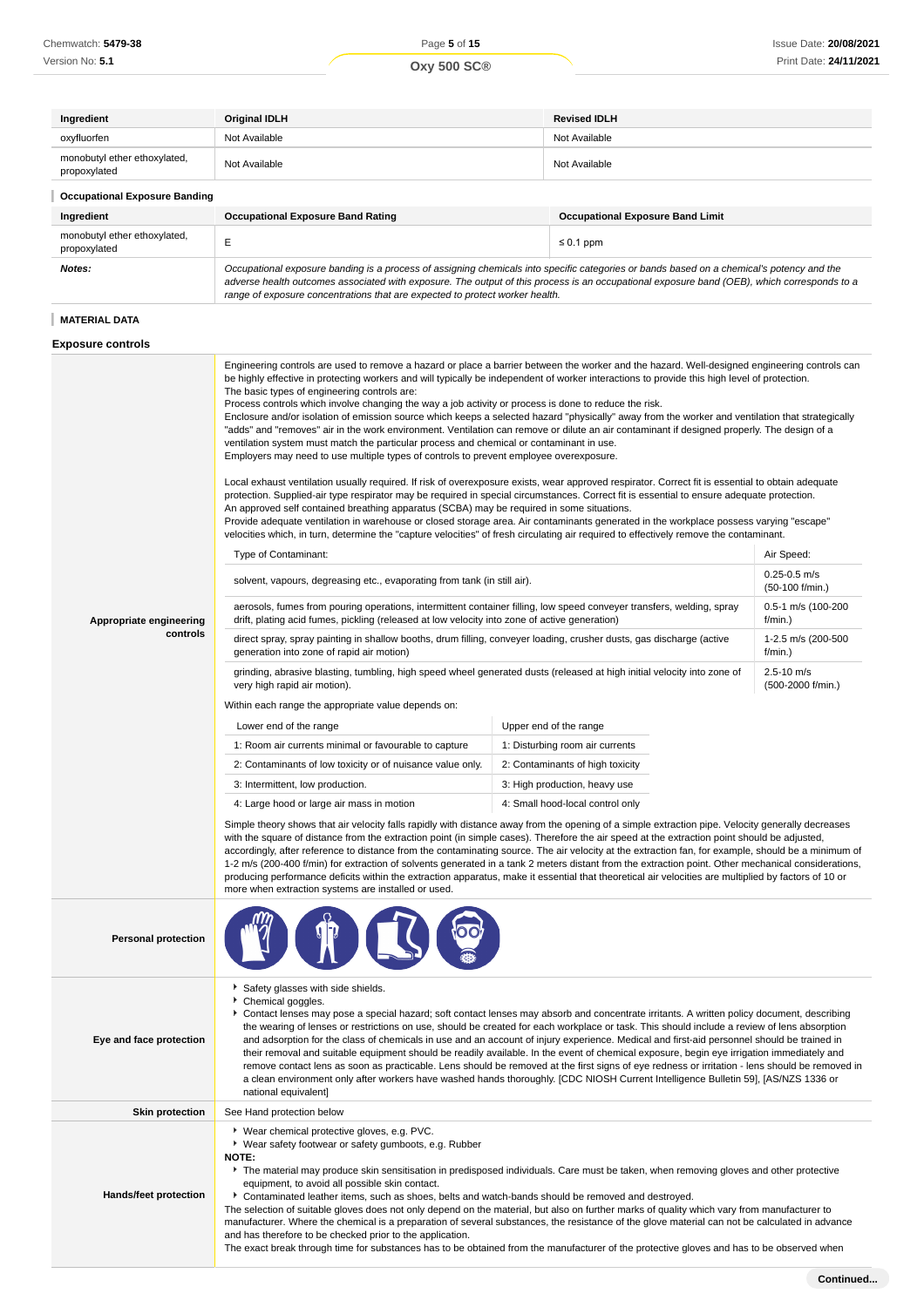| <b>Original IDLH</b>                                                                                                                                                                                                                                                                                                                                                                                                                                                                                                                                                                                                                                                                                                                                                                                                                                                                                                                                                                                                                                                                                                                                                                                                                                                                                                                            | <b>Revised IDLH</b>                     |  |  |
|-------------------------------------------------------------------------------------------------------------------------------------------------------------------------------------------------------------------------------------------------------------------------------------------------------------------------------------------------------------------------------------------------------------------------------------------------------------------------------------------------------------------------------------------------------------------------------------------------------------------------------------------------------------------------------------------------------------------------------------------------------------------------------------------------------------------------------------------------------------------------------------------------------------------------------------------------------------------------------------------------------------------------------------------------------------------------------------------------------------------------------------------------------------------------------------------------------------------------------------------------------------------------------------------------------------------------------------------------|-----------------------------------------|--|--|
| Not Available                                                                                                                                                                                                                                                                                                                                                                                                                                                                                                                                                                                                                                                                                                                                                                                                                                                                                                                                                                                                                                                                                                                                                                                                                                                                                                                                   | Not Available                           |  |  |
| Not Available                                                                                                                                                                                                                                                                                                                                                                                                                                                                                                                                                                                                                                                                                                                                                                                                                                                                                                                                                                                                                                                                                                                                                                                                                                                                                                                                   | Not Available                           |  |  |
|                                                                                                                                                                                                                                                                                                                                                                                                                                                                                                                                                                                                                                                                                                                                                                                                                                                                                                                                                                                                                                                                                                                                                                                                                                                                                                                                                 |                                         |  |  |
| <b>Occupational Exposure Band Rating</b>                                                                                                                                                                                                                                                                                                                                                                                                                                                                                                                                                                                                                                                                                                                                                                                                                                                                                                                                                                                                                                                                                                                                                                                                                                                                                                        | <b>Occupational Exposure Band Limit</b> |  |  |
| E                                                                                                                                                                                                                                                                                                                                                                                                                                                                                                                                                                                                                                                                                                                                                                                                                                                                                                                                                                                                                                                                                                                                                                                                                                                                                                                                               | $\leq 0.1$ ppm                          |  |  |
| Occupational exposure banding is a process of assigning chemicals into specific categories or bands based on a chemical's potency and the<br>adverse health outcomes associated with exposure. The output of this process is an occupational exposure band (OEB), which corresponds to a<br>range of exposure concentrations that are expected to protect worker health.                                                                                                                                                                                                                                                                                                                                                                                                                                                                                                                                                                                                                                                                                                                                                                                                                                                                                                                                                                        |                                         |  |  |
|                                                                                                                                                                                                                                                                                                                                                                                                                                                                                                                                                                                                                                                                                                                                                                                                                                                                                                                                                                                                                                                                                                                                                                                                                                                                                                                                                 |                                         |  |  |
|                                                                                                                                                                                                                                                                                                                                                                                                                                                                                                                                                                                                                                                                                                                                                                                                                                                                                                                                                                                                                                                                                                                                                                                                                                                                                                                                                 |                                         |  |  |
| Engineering controls are used to remove a hazard or place a barrier between the worker and the hazard. Well-designed engineering controls can<br>be highly effective in protecting workers and will typically be independent of worker interactions to provide this high level of protection.<br>The basic types of engineering controls are:<br>Process controls which involve changing the way a job activity or process is done to reduce the risk.<br>Enclosure and/or isolation of emission source which keeps a selected hazard "physically" away from the worker and ventilation that strategically<br>"adds" and "removes" air in the work environment. Ventilation can remove or dilute an air contaminant if designed properly. The design of a<br>ventilation system must match the particular process and chemical or contaminant in use.<br>Employers may need to use multiple types of controls to prevent employee overexposure.<br>Local exhaust ventilation usually required. If risk of overexposure exists, wear approved respirator. Correct fit is essential to obtain adequate<br>protection. Supplied-air type respirator may be required in special circumstances. Correct fit is essential to ensure adequate protection.<br>An approved self contained breathing apparatus (SCBA) may be required in some situations. |                                         |  |  |
|                                                                                                                                                                                                                                                                                                                                                                                                                                                                                                                                                                                                                                                                                                                                                                                                                                                                                                                                                                                                                                                                                                                                                                                                                                                                                                                                                 |                                         |  |  |

Provide adequate ventilation in warehouse or closed storage area. Air contaminants generated in the workplace possess varying "escape" velocities which, in turn, determine the "capture velocities" of fresh circulating air required to effectively remove the contaminant.

|                                     | <b>Type of Contaminant:</b>                                                                                                                                                                                            |                                     | Air Speed: |  |  |
|-------------------------------------|------------------------------------------------------------------------------------------------------------------------------------------------------------------------------------------------------------------------|-------------------------------------|------------|--|--|
| Appropriate engineering<br>controls | solvent, vapours, degreasing etc., evaporating from tank (in still air).                                                                                                                                               | $0.25 - 0.5$ m/s<br>(50-100 f/min.) |            |  |  |
|                                     | aerosols, fumes from pouring operations, intermittent container filling, low speed conveyer transfers, welding, spray<br>drift, plating acid fumes, pickling (released at low velocity into zone of active generation) | 0.5-1 m/s (100-200<br>f/min.        |            |  |  |
|                                     | direct spray, spray painting in shallow booths, drum filling, conveyer loading, crusher dusts, gas discharge (active<br>generation into zone of rapid air motion)                                                      |                                     |            |  |  |
|                                     | grinding, abrasive blasting, tumbling, high speed wheel generated dusts (released at high initial velocity into zone of<br>very high rapid air motion).                                                                | $2.5 - 10$ m/s<br>(500-2000 f/min.) |            |  |  |
|                                     | Within each range the appropriate value depends on:                                                                                                                                                                    |                                     |            |  |  |
|                                     | Lower end of the range                                                                                                                                                                                                 | Upper end of the range              |            |  |  |
|                                     | 1: Room air currents minimal or favourable to capture                                                                                                                                                                  | 1: Disturbing room air currents     |            |  |  |
|                                     | 2: Contaminants of low toxicity or of nuisance value only.                                                                                                                                                             | 2: Contaminants of high toxicity    |            |  |  |
|                                     | 3: Intermittent, low production.                                                                                                                                                                                       | 3: High production, heavy use       |            |  |  |
|                                     | 4: Large hood or large air mass in motion                                                                                                                                                                              | 4: Small hood-local control only    |            |  |  |

Simple theory shows that air velocity falls rapidly with distance away from the opening of a simple extraction pipe. Velocity generally decreases with the square of distance from the extraction point (in simple cases). Therefore the air speed at the extraction point should be adjusted, accordingly, after reference to distance from the contaminating source. The air velocity at the extraction fan, for example, should be a minimum of 1-2 m/s (200-400 f/min) for extraction of solvents generated in a tank 2 meters distant from the extraction point. Other mechanical considerations, producing performance deficits within the extraction apparatus, make it essential that theoretical air velocities are multiplied by factors of 10 or more when extraction systems are installed or used.

| <b>Personal protection</b> |                                                                                                                                                                                                                                                                                                                                                                                                                                                                                                                                                                                                                                                                                                                                                                                                                                                                                                                                                               |
|----------------------------|---------------------------------------------------------------------------------------------------------------------------------------------------------------------------------------------------------------------------------------------------------------------------------------------------------------------------------------------------------------------------------------------------------------------------------------------------------------------------------------------------------------------------------------------------------------------------------------------------------------------------------------------------------------------------------------------------------------------------------------------------------------------------------------------------------------------------------------------------------------------------------------------------------------------------------------------------------------|
| Eye and face protection    | Safety glasses with side shields.<br>Chemical goggles.<br>Contact lenses may pose a special hazard; soft contact lenses may absorb and concentrate irritants. A written policy document, describing<br>the wearing of lenses or restrictions on use, should be created for each workplace or task. This should include a review of lens absorption<br>and adsorption for the class of chemicals in use and an account of injury experience. Medical and first-aid personnel should be trained in<br>their removal and suitable equipment should be readily available. In the event of chemical exposure, begin eye irrigation immediately and<br>remove contact lens as soon as practicable. Lens should be removed at the first signs of eye redness or irritation - lens should be removed in<br>a clean environment only after workers have washed hands thoroughly. [CDC NIOSH Current Intelligence Bulletin 59], [AS/NZS 1336 or<br>national equivalent] |
| <b>Skin protection</b>     | See Hand protection below                                                                                                                                                                                                                                                                                                                                                                                                                                                                                                                                                                                                                                                                                                                                                                                                                                                                                                                                     |
| Hands/feet protection      | ▶ Wear chemical protective gloves, e.g. PVC.<br>▶ Wear safety footwear or safety gumboots, e.g. Rubber<br>NOTE:<br>The material may produce skin sensitisation in predisposed individuals. Care must be taken, when removing gloves and other protective<br>equipment, to avoid all possible skin contact.<br>Contaminated leather items, such as shoes, belts and watch-bands should be removed and destroyed.<br>The selection of suitable gloves does not only depend on the material, but also on further marks of quality which vary from manufacturer to<br>manufacturer. Where the chemical is a preparation of several substances, the resistance of the glove material can not be calculated in advance<br>and has therefore to be checked prior to the application.<br>The exact break through time for substances has to be obtained from the manufacturer of the protective gloves and has to be observed when                                    |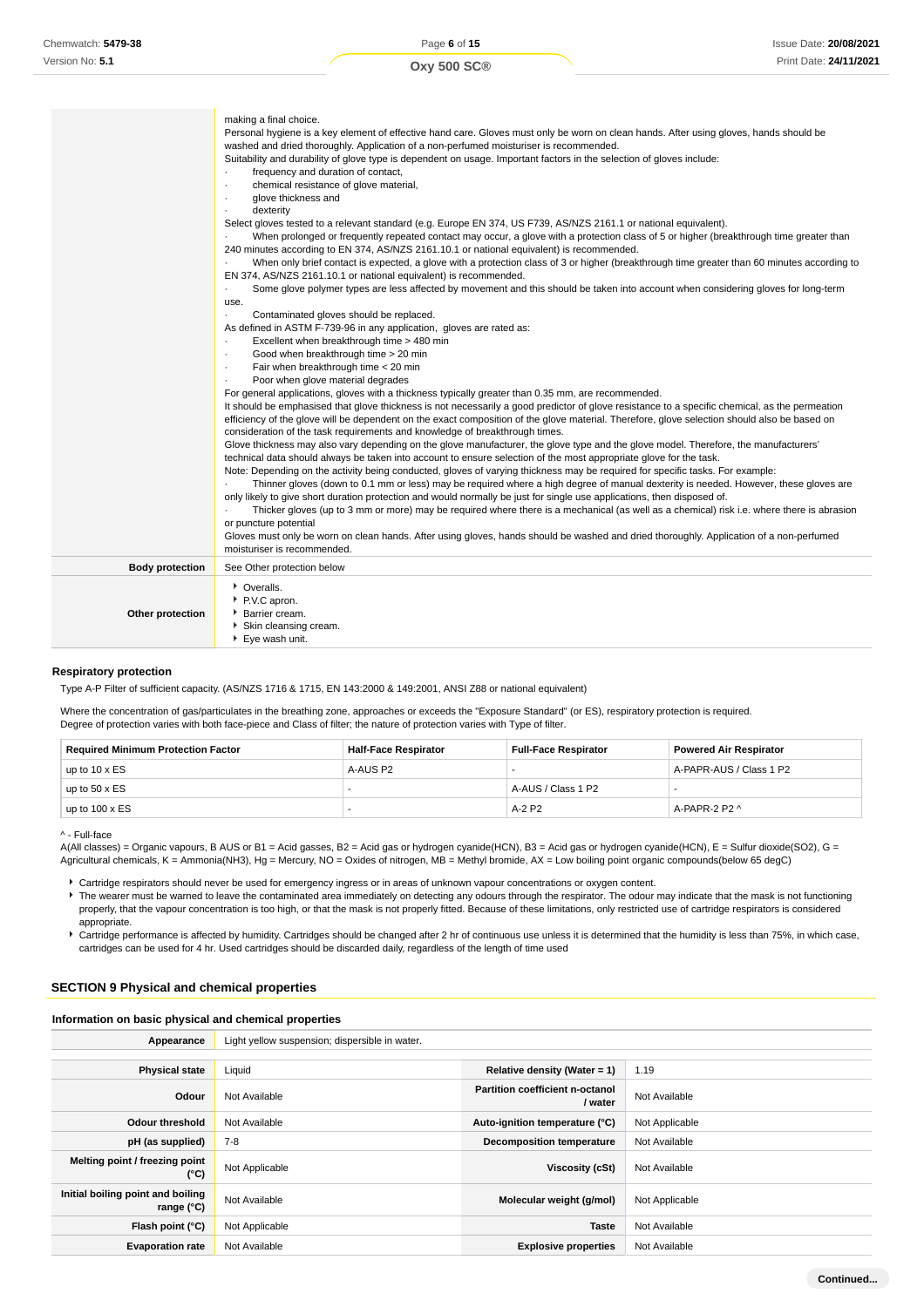|                        | making a final choice.<br>Personal hygiene is a key element of effective hand care. Gloves must only be worn on clean hands. After using gloves, hands should be<br>washed and dried thoroughly. Application of a non-perfumed moisturiser is recommended.<br>Suitability and durability of glove type is dependent on usage. Important factors in the selection of gloves include:<br>frequency and duration of contact,<br>chemical resistance of glove material,<br>$\cdot$<br>glove thickness and<br>٠<br>dexterity<br>$\cdot$<br>Select gloves tested to a relevant standard (e.g. Europe EN 374, US F739, AS/NZS 2161.1 or national equivalent).<br>When prolonged or frequently repeated contact may occur, a glove with a protection class of 5 or higher (breakthrough time greater than<br>240 minutes according to EN 374, AS/NZS 2161.10.1 or national equivalent) is recommended.<br>When only brief contact is expected, a glove with a protection class of 3 or higher (breakthrough time greater than 60 minutes according to<br>EN 374, AS/NZS 2161.10.1 or national equivalent) is recommended.<br>Some glove polymer types are less affected by movement and this should be taken into account when considering gloves for long-term<br>٠<br>use.<br>Contaminated gloves should be replaced.<br>As defined in ASTM F-739-96 in any application, gloves are rated as:<br>Excellent when breakthrough time > 480 min<br>٠<br>Good when breakthrough time > 20 min<br>$\cdot$<br>Fair when breakthrough time < 20 min<br>$\cdot$<br>Poor when glove material degrades<br>$\cdot$<br>For general applications, gloves with a thickness typically greater than 0.35 mm, are recommended.<br>It should be emphasised that glove thickness is not necessarily a good predictor of glove resistance to a specific chemical, as the permeation<br>efficiency of the glove will be dependent on the exact composition of the glove material. Therefore, glove selection should also be based on<br>consideration of the task requirements and knowledge of breakthrough times.<br>Glove thickness may also vary depending on the glove manufacturer, the glove type and the glove model. Therefore, the manufacturers'<br>technical data should always be taken into account to ensure selection of the most appropriate glove for the task.<br>Note: Depending on the activity being conducted, gloves of varying thickness may be required for specific tasks. For example:<br>Thinner gloves (down to 0.1 mm or less) may be required where a high degree of manual dexterity is needed. However, these gloves are<br>only likely to give short duration protection and would normally be just for single use applications, then disposed of.<br>Thicker gloves (up to 3 mm or more) may be required where there is a mechanical (as well as a chemical) risk i.e. where there is abrasion<br>or puncture potential<br>Gloves must only be worn on clean hands. After using gloves, hands should be washed and dried thoroughly. Application of a non-perfumed |
|------------------------|----------------------------------------------------------------------------------------------------------------------------------------------------------------------------------------------------------------------------------------------------------------------------------------------------------------------------------------------------------------------------------------------------------------------------------------------------------------------------------------------------------------------------------------------------------------------------------------------------------------------------------------------------------------------------------------------------------------------------------------------------------------------------------------------------------------------------------------------------------------------------------------------------------------------------------------------------------------------------------------------------------------------------------------------------------------------------------------------------------------------------------------------------------------------------------------------------------------------------------------------------------------------------------------------------------------------------------------------------------------------------------------------------------------------------------------------------------------------------------------------------------------------------------------------------------------------------------------------------------------------------------------------------------------------------------------------------------------------------------------------------------------------------------------------------------------------------------------------------------------------------------------------------------------------------------------------------------------------------------------------------------------------------------------------------------------------------------------------------------------------------------------------------------------------------------------------------------------------------------------------------------------------------------------------------------------------------------------------------------------------------------------------------------------------------------------------------------------------------------------------------------------------------------------------------------------------------------------------------------------------------------------------------------------------------------------------------------------------------------------------------------------------------------------------------------------------------------------------------------------------------------------------------------------------------------------------------------------------------------------------------------------------------------------------------------------------------|
|                        | moisturiser is recommended.                                                                                                                                                                                                                                                                                                                                                                                                                                                                                                                                                                                                                                                                                                                                                                                                                                                                                                                                                                                                                                                                                                                                                                                                                                                                                                                                                                                                                                                                                                                                                                                                                                                                                                                                                                                                                                                                                                                                                                                                                                                                                                                                                                                                                                                                                                                                                                                                                                                                                                                                                                                                                                                                                                                                                                                                                                                                                                                                                                                                                                                |
| <b>Body protection</b> | See Other protection below                                                                                                                                                                                                                                                                                                                                                                                                                                                                                                                                                                                                                                                                                                                                                                                                                                                                                                                                                                                                                                                                                                                                                                                                                                                                                                                                                                                                                                                                                                                                                                                                                                                                                                                                                                                                                                                                                                                                                                                                                                                                                                                                                                                                                                                                                                                                                                                                                                                                                                                                                                                                                                                                                                                                                                                                                                                                                                                                                                                                                                                 |
| Other protection       | • Overalls.<br>P.V.C apron.<br>Barrier cream.<br>Skin cleansing cream.<br>▶ Eye wash unit.                                                                                                                                                                                                                                                                                                                                                                                                                                                                                                                                                                                                                                                                                                                                                                                                                                                                                                                                                                                                                                                                                                                                                                                                                                                                                                                                                                                                                                                                                                                                                                                                                                                                                                                                                                                                                                                                                                                                                                                                                                                                                                                                                                                                                                                                                                                                                                                                                                                                                                                                                                                                                                                                                                                                                                                                                                                                                                                                                                                 |

#### **Respiratory protection**

Type A-P Filter of sufficient capacity. (AS/NZS 1716 & 1715, EN 143:2000 & 149:2001, ANSI Z88 or national equivalent)

Where the concentration of gas/particulates in the breathing zone, approaches or exceeds the "Exposure Standard" (or ES), respiratory protection is required. Degree of protection varies with both face-piece and Class of filter; the nature of protection varies with Type of filter.

| <b>Required Minimum Protection Factor</b> | <b>Half-Face Respirator</b> | <b>Full-Face Respirator</b> | <b>Powered Air Respirator</b> |
|-------------------------------------------|-----------------------------|-----------------------------|-------------------------------|
| up to $10 \times ES$                      | A-AUS P2                    | -                           | A-PAPR-AUS / Class 1 P2       |
| up to $50 \times ES$                      |                             | A-AUS / Class 1 P2          | -                             |
| up to $100 \times ES$                     |                             | A-2 P2                      | A-PAPR-2 P2 $\land$           |

^ - Full-face

A(All classes) = Organic vapours, B AUS or B1 = Acid gasses, B2 = Acid gas or hydrogen cyanide(HCN), B3 = Acid gas or hydrogen cyanide(HCN), E = Sulfur dioxide(SO2), G = Agricultural chemicals, K = Ammonia(NH3), Hg = Mercury, NO = Oxides of nitrogen, MB = Methyl bromide, AX = Low boiling point organic compounds(below 65 degC)

Cartridge respirators should never be used for emergency ingress or in areas of unknown vapour concentrations or oxygen content.

The wearer must be warned to leave the contaminated area immediately on detecting any odours through the respirator. The odour may indicate that the mask is not functioning properly, that the vapour concentration is too high, or that the mask is not properly fitted. Because of these limitations, only restricted use of cartridge respirators is considered appropriate.

Cartridge performance is affected by humidity. Cartridges should be changed after 2 hr of continuous use unless it is determined that the humidity is less than 75%, in which case, cartridges can be used for 4 hr. Used cartridges should be discarded daily, regardless of the length of time used

#### **SECTION 9 Physical and chemical properties**

#### **Information on basic physical and chemical properties**

| Appearance                                        | Light yellow suspension; dispersible in water. |                                                   |                |
|---------------------------------------------------|------------------------------------------------|---------------------------------------------------|----------------|
|                                                   |                                                |                                                   |                |
| <b>Physical state</b>                             | Liquid                                         | Relative density (Water = $1$ )                   | 1.19           |
| Odour                                             | Not Available                                  | <b>Partition coefficient n-octanol</b><br>/ water | Not Available  |
| <b>Odour threshold</b>                            | Not Available                                  | Auto-ignition temperature (°C)                    | Not Applicable |
| pH (as supplied)                                  | $7 - 8$                                        | <b>Decomposition temperature</b>                  | Not Available  |
| Melting point / freezing point<br>(°C)            | Not Applicable                                 | Viscosity (cSt)                                   | Not Available  |
| Initial boiling point and boiling<br>range $(°C)$ | Not Available                                  | Molecular weight (g/mol)                          | Not Applicable |
| Flash point (°C)                                  | Not Applicable                                 | <b>Taste</b>                                      | Not Available  |
| <b>Evaporation rate</b>                           | Not Available                                  | <b>Explosive properties</b>                       | Not Available  |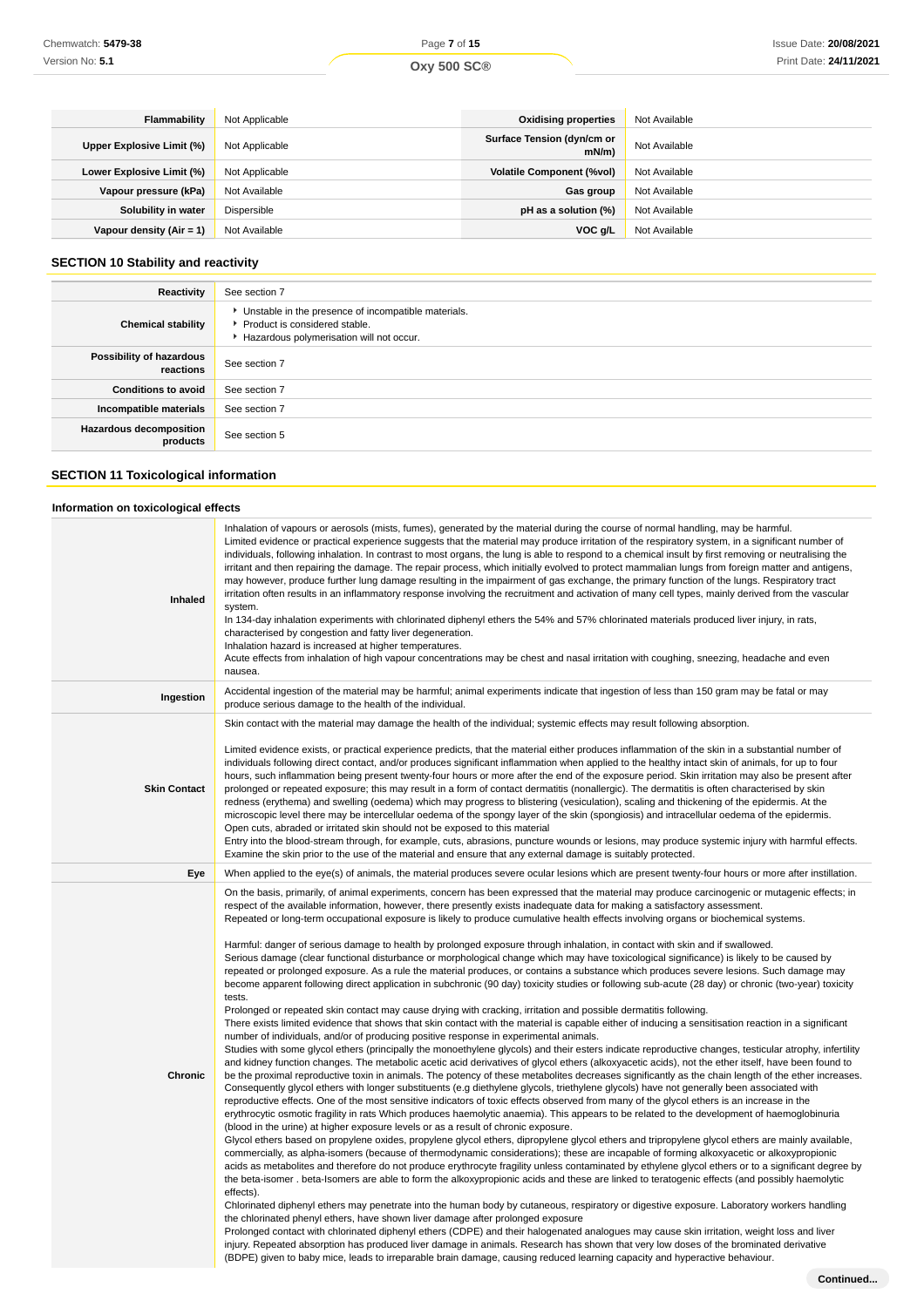| <b>Flammability</b>        | Not Applicable | <b>Oxidising properties</b>            | Not Available |
|----------------------------|----------------|----------------------------------------|---------------|
| Upper Explosive Limit (%)  | Not Applicable | Surface Tension (dyn/cm or<br>$mN/m$ ) | Not Available |
| Lower Explosive Limit (%)  | Not Applicable | <b>Volatile Component (%vol)</b>       | Not Available |
| Vapour pressure (kPa)      | Not Available  | Gas group                              | Not Available |
| Solubility in water        | Dispersible    | pH as a solution (%)                   | Not Available |
| Vapour density $(Air = 1)$ | Not Available  | VOC g/L                                | Not Available |

## **SECTION 10 Stability and reactivity**

| Reactivity                                 | See section 7                                                                                                                        |
|--------------------------------------------|--------------------------------------------------------------------------------------------------------------------------------------|
| <b>Chemical stability</b>                  | • Unstable in the presence of incompatible materials.<br>▶ Product is considered stable.<br>Hazardous polymerisation will not occur. |
| Possibility of hazardous<br>reactions      | See section 7                                                                                                                        |
| <b>Conditions to avoid</b>                 | See section 7                                                                                                                        |
| Incompatible materials                     | See section 7                                                                                                                        |
| <b>Hazardous decomposition</b><br>products | See section 5                                                                                                                        |

## **SECTION 11 Toxicological information**

## **Information on toxicological effects**

| <b>Inhaled</b>      | Inhalation of vapours or aerosols (mists, fumes), generated by the material during the course of normal handling, may be harmful.<br>Limited evidence or practical experience suggests that the material may produce irritation of the respiratory system, in a significant number of<br>individuals, following inhalation. In contrast to most organs, the lung is able to respond to a chemical insult by first removing or neutralising the<br>irritant and then repairing the damage. The repair process, which initially evolved to protect mammalian lungs from foreign matter and antigens,<br>may however, produce further lung damage resulting in the impairment of gas exchange, the primary function of the lungs. Respiratory tract<br>irritation often results in an inflammatory response involving the recruitment and activation of many cell types, mainly derived from the vascular<br>system.<br>In 134-day inhalation experiments with chlorinated diphenyl ethers the 54% and 57% chlorinated materials produced liver injury, in rats,<br>characterised by congestion and fatty liver degeneration.<br>Inhalation hazard is increased at higher temperatures.<br>Acute effects from inhalation of high vapour concentrations may be chest and nasal irritation with coughing, sneezing, headache and even<br>nausea.                                                                                                                                                                                                                                                                                                                                                                                                                                                                                                                                                                                                                                                                                                                                                                                                                                                                                                                                                                                                                                                                                                                                                                                                                                                                                                                                                                                                                                                                                                                                                                                                                                                                                                                                                                                                                                                                                                                                                                                                                                                                                                                                                                                                                                                                                                                         |
|---------------------|---------------------------------------------------------------------------------------------------------------------------------------------------------------------------------------------------------------------------------------------------------------------------------------------------------------------------------------------------------------------------------------------------------------------------------------------------------------------------------------------------------------------------------------------------------------------------------------------------------------------------------------------------------------------------------------------------------------------------------------------------------------------------------------------------------------------------------------------------------------------------------------------------------------------------------------------------------------------------------------------------------------------------------------------------------------------------------------------------------------------------------------------------------------------------------------------------------------------------------------------------------------------------------------------------------------------------------------------------------------------------------------------------------------------------------------------------------------------------------------------------------------------------------------------------------------------------------------------------------------------------------------------------------------------------------------------------------------------------------------------------------------------------------------------------------------------------------------------------------------------------------------------------------------------------------------------------------------------------------------------------------------------------------------------------------------------------------------------------------------------------------------------------------------------------------------------------------------------------------------------------------------------------------------------------------------------------------------------------------------------------------------------------------------------------------------------------------------------------------------------------------------------------------------------------------------------------------------------------------------------------------------------------------------------------------------------------------------------------------------------------------------------------------------------------------------------------------------------------------------------------------------------------------------------------------------------------------------------------------------------------------------------------------------------------------------------------------------------------------------------------------------------------------------------------------------------------------------------------------------------------------------------------------------------------------------------------------------------------------------------------------------------------------------------------------------------------------------------------------------------------------------------------------------------------------------------------------------------------------------------------------------------------------------------|
| Ingestion           | Accidental ingestion of the material may be harmful; animal experiments indicate that ingestion of less than 150 gram may be fatal or may<br>produce serious damage to the health of the individual.                                                                                                                                                                                                                                                                                                                                                                                                                                                                                                                                                                                                                                                                                                                                                                                                                                                                                                                                                                                                                                                                                                                                                                                                                                                                                                                                                                                                                                                                                                                                                                                                                                                                                                                                                                                                                                                                                                                                                                                                                                                                                                                                                                                                                                                                                                                                                                                                                                                                                                                                                                                                                                                                                                                                                                                                                                                                                                                                                                                                                                                                                                                                                                                                                                                                                                                                                                                                                                                                |
| <b>Skin Contact</b> | Skin contact with the material may damage the health of the individual; systemic effects may result following absorption.<br>Limited evidence exists, or practical experience predicts, that the material either produces inflammation of the skin in a substantial number of<br>individuals following direct contact, and/or produces significant inflammation when applied to the healthy intact skin of animals, for up to four<br>hours, such inflammation being present twenty-four hours or more after the end of the exposure period. Skin irritation may also be present after<br>prolonged or repeated exposure; this may result in a form of contact dermatitis (nonallergic). The dermatitis is often characterised by skin<br>redness (erythema) and swelling (oedema) which may progress to blistering (vesiculation), scaling and thickening of the epidermis. At the<br>microscopic level there may be intercellular oedema of the spongy layer of the skin (spongiosis) and intracellular oedema of the epidermis.<br>Open cuts, abraded or irritated skin should not be exposed to this material<br>Entry into the blood-stream through, for example, cuts, abrasions, puncture wounds or lesions, may produce systemic injury with harmful effects.<br>Examine the skin prior to the use of the material and ensure that any external damage is suitably protected.                                                                                                                                                                                                                                                                                                                                                                                                                                                                                                                                                                                                                                                                                                                                                                                                                                                                                                                                                                                                                                                                                                                                                                                                                                                                                                                                                                                                                                                                                                                                                                                                                                                                                                                                                                                                                                                                                                                                                                                                                                                                                                                                                                                                                                                                               |
| Eye                 | When applied to the eye(s) of animals, the material produces severe ocular lesions which are present twenty-four hours or more after instillation.                                                                                                                                                                                                                                                                                                                                                                                                                                                                                                                                                                                                                                                                                                                                                                                                                                                                                                                                                                                                                                                                                                                                                                                                                                                                                                                                                                                                                                                                                                                                                                                                                                                                                                                                                                                                                                                                                                                                                                                                                                                                                                                                                                                                                                                                                                                                                                                                                                                                                                                                                                                                                                                                                                                                                                                                                                                                                                                                                                                                                                                                                                                                                                                                                                                                                                                                                                                                                                                                                                                  |
| Chronic             | On the basis, primarily, of animal experiments, concern has been expressed that the material may produce carcinogenic or mutagenic effects; in<br>respect of the available information, however, there presently exists inadequate data for making a satisfactory assessment.<br>Repeated or long-term occupational exposure is likely to produce cumulative health effects involving organs or biochemical systems.<br>Harmful: danger of serious damage to health by prolonged exposure through inhalation, in contact with skin and if swallowed.<br>Serious damage (clear functional disturbance or morphological change which may have toxicological significance) is likely to be caused by<br>repeated or prolonged exposure. As a rule the material produces, or contains a substance which produces severe lesions. Such damage may<br>become apparent following direct application in subchronic (90 day) toxicity studies or following sub-acute (28 day) or chronic (two-year) toxicity<br>tests.<br>Prolonged or repeated skin contact may cause drying with cracking, irritation and possible dermatitis following.<br>There exists limited evidence that shows that skin contact with the material is capable either of inducing a sensitisation reaction in a significant<br>number of individuals, and/or of producing positive response in experimental animals.<br>Studies with some glycol ethers (principally the monoethylene glycols) and their esters indicate reproductive changes, testicular atrophy, infertility<br>and kidney function changes. The metabolic acetic acid derivatives of glycol ethers (alkoxyacetic acids), not the ether itself, have been found to<br>be the proximal reproductive toxin in animals. The potency of these metabolites decreases significantly as the chain length of the ether increases.<br>Consequently glycol ethers with longer substituents (e.g diethylene glycols, triethylene glycols) have not generally been associated with<br>reproductive effects. One of the most sensitive indicators of toxic effects observed from many of the glycol ethers is an increase in the<br>erythrocytic osmotic fragility in rats Which produces haemolytic anaemia). This appears to be related to the development of haemoglobinuria<br>(blood in the urine) at higher exposure levels or as a result of chronic exposure.<br>Glycol ethers based on propylene oxides, propylene glycol ethers, dipropylene glycol ethers and tripropylene glycol ethers are mainly available,<br>commercially, as alpha-isomers (because of thermodynamic considerations); these are incapable of forming alkoxyacetic or alkoxypropionic<br>acids as metabolites and therefore do not produce erythrocyte fragility unless contaminated by ethylene glycol ethers or to a significant degree by<br>the beta-isomer. beta-Isomers are able to form the alkoxypropionic acids and these are linked to teratogenic effects (and possibly haemolytic<br>effects).<br>Chlorinated diphenyl ethers may penetrate into the human body by cutaneous, respiratory or digestive exposure. Laboratory workers handling<br>the chlorinated phenyl ethers, have shown liver damage after prolonged exposure<br>Prolonged contact with chlorinated diphenyl ethers (CDPE) and their halogenated analogues may cause skin irritation, weight loss and liver<br>injury. Repeated absorption has produced liver damage in animals. Research has shown that very low doses of the brominated derivative<br>(BDPE) given to baby mice, leads to irreparable brain damage, causing reduced learning capacity and hyperactive behaviour. |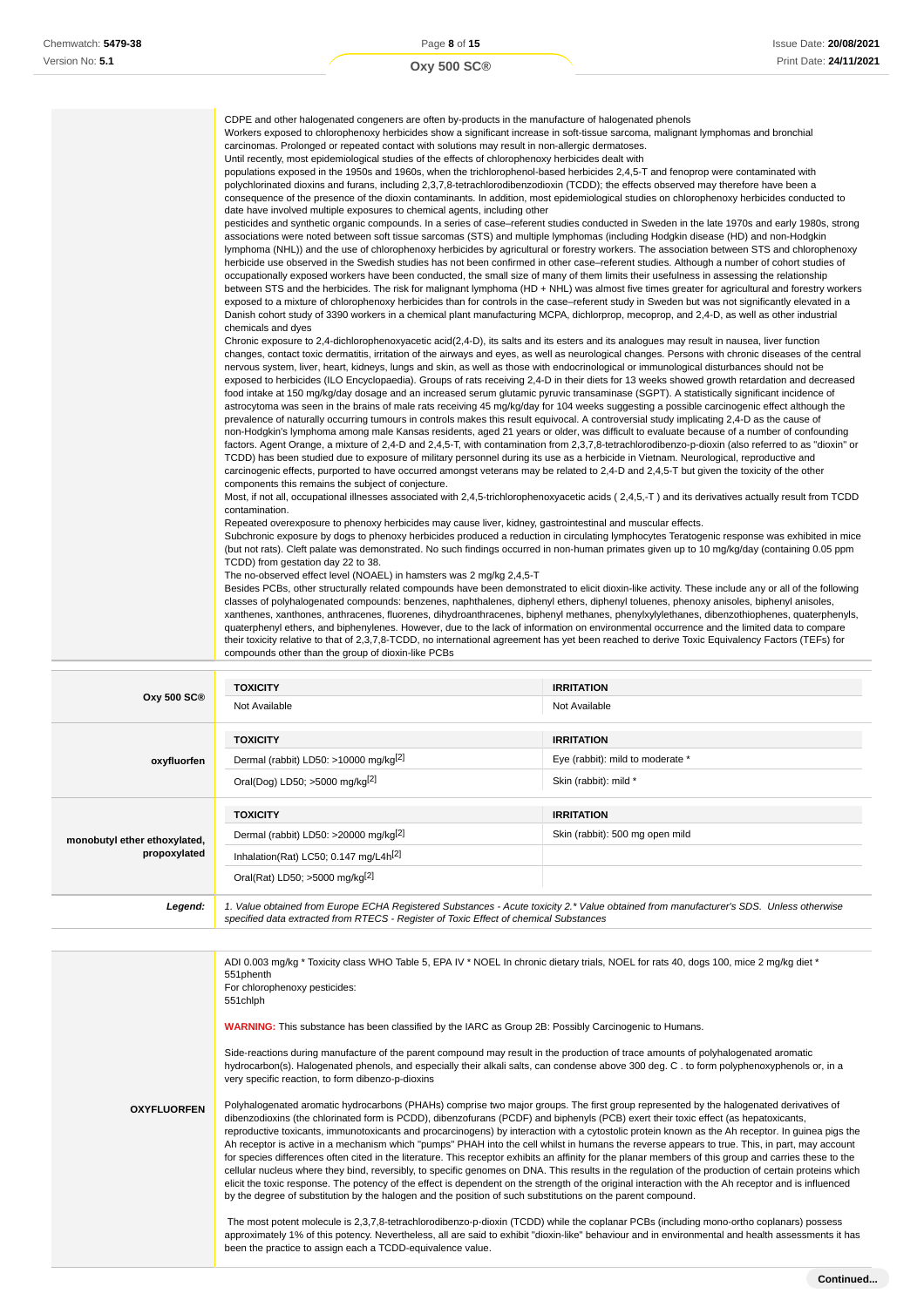| CDPE and other halogenated congeners are often by-products in the manufacture of halogenated phenols<br>Workers exposed to chlorophenoxy herbicides show a significant increase in soft-tissue sarcoma, malignant lymphomas and bronchial<br>carcinomas. Prolonged or repeated contact with solutions may result in non-allergic dermatoses.<br>Until recently, most epidemiological studies of the effects of chlorophenoxy herbicides dealt with<br>populations exposed in the 1950s and 1960s, when the trichlorophenol-based herbicides 2,4,5-T and fenoprop were contaminated with<br>polychlorinated dioxins and furans, including 2,3,7,8-tetrachlorodibenzodioxin (TCDD); the effects observed may therefore have been a<br>consequence of the presence of the dioxin contaminants. In addition, most epidemiological studies on chlorophenoxy herbicides conducted to<br>date have involved multiple exposures to chemical agents, including other<br>pesticides and synthetic organic compounds. In a series of case-referent studies conducted in Sweden in the late 1970s and early 1980s, strong<br>associations were noted between soft tissue sarcomas (STS) and multiple lymphomas (including Hodgkin disease (HD) and non-Hodgkin<br>lymphoma (NHL)) and the use of chlorophenoxy herbicides by agricultural or forestry workers. The association between STS and chlorophenoxy<br>herbicide use observed in the Swedish studies has not been confirmed in other case-referent studies. Although a number of cohort studies of<br>occupationally exposed workers have been conducted, the small size of many of them limits their usefulness in assessing the relationship<br>between STS and the herbicides. The risk for malignant lymphoma (HD + NHL) was almost five times greater for agricultural and forestry workers<br>exposed to a mixture of chlorophenoxy herbicides than for controls in the case-referent study in Sweden but was not significantly elevated in a<br>Danish cohort study of 3390 workers in a chemical plant manufacturing MCPA, dichlorprop, mecoprop, and 2,4-D, as well as other industrial<br>chemicals and dyes<br>Chronic exposure to 2,4-dichlorophenoxyacetic acid(2,4-D), its salts and its esters and its analogues may result in nausea, liver function<br>changes, contact toxic dermatitis, irritation of the airways and eyes, as well as neurological changes. Persons with chronic diseases of the central<br>nervous system, liver, heart, kidneys, lungs and skin, as well as those with endocrinological or immunological disturbances should not be<br>exposed to herbicides (ILO Encyclopaedia). Groups of rats receiving 2,4-D in their diets for 13 weeks showed growth retardation and decreased<br>food intake at 150 mg/kg/day dosage and an increased serum glutamic pyruvic transaminase (SGPT). A statistically significant incidence of<br>astrocytoma was seen in the brains of male rats receiving 45 mg/kg/day for 104 weeks suggesting a possible carcinogenic effect although the |
|---------------------------------------------------------------------------------------------------------------------------------------------------------------------------------------------------------------------------------------------------------------------------------------------------------------------------------------------------------------------------------------------------------------------------------------------------------------------------------------------------------------------------------------------------------------------------------------------------------------------------------------------------------------------------------------------------------------------------------------------------------------------------------------------------------------------------------------------------------------------------------------------------------------------------------------------------------------------------------------------------------------------------------------------------------------------------------------------------------------------------------------------------------------------------------------------------------------------------------------------------------------------------------------------------------------------------------------------------------------------------------------------------------------------------------------------------------------------------------------------------------------------------------------------------------------------------------------------------------------------------------------------------------------------------------------------------------------------------------------------------------------------------------------------------------------------------------------------------------------------------------------------------------------------------------------------------------------------------------------------------------------------------------------------------------------------------------------------------------------------------------------------------------------------------------------------------------------------------------------------------------------------------------------------------------------------------------------------------------------------------------------------------------------------------------------------------------------------------------------------------------------------------------------------------------------------------------------------------------------------------------------------------------------------------------------------------------------------------------------------------------------------------------------------------------------------------------------------------------------------------------------------------------------------------------------------------------------------------------------------------------------------------------------------------------------------|
| prevalence of naturally occurring tumours in controls makes this result equivocal. A controversial study implicating 2,4-D as the cause of<br>non-Hodgkin's lymphoma among male Kansas residents, aged 21 years or older, was difficult to evaluate because of a number of confounding<br>factors. Agent Orange, a mixture of 2,4-D and 2,4,5-T, with contamination from 2,3,7,8-tetrachlorodibenzo-p-dioxin (also referred to as "dioxin" or<br>TCDD) has been studied due to exposure of military personnel during its use as a herbicide in Vietnam. Neurological, reproductive and<br>carcinogenic effects, purported to have occurred amongst veterans may be related to 2,4-D and 2,4,5-T but given the toxicity of the other                                                                                                                                                                                                                                                                                                                                                                                                                                                                                                                                                                                                                                                                                                                                                                                                                                                                                                                                                                                                                                                                                                                                                                                                                                                                                                                                                                                                                                                                                                                                                                                                                                                                                                                                                                                                                                                                                                                                                                                                                                                                                                                                                                                                                                                                                                                                 |
| components this remains the subject of conjecture.<br>Most, if not all, occupational illnesses associated with 2,4,5-trichlorophenoxyacetic acids (2,4,5,-T) and its derivatives actually result from TCDD<br>contamination.                                                                                                                                                                                                                                                                                                                                                                                                                                                                                                                                                                                                                                                                                                                                                                                                                                                                                                                                                                                                                                                                                                                                                                                                                                                                                                                                                                                                                                                                                                                                                                                                                                                                                                                                                                                                                                                                                                                                                                                                                                                                                                                                                                                                                                                                                                                                                                                                                                                                                                                                                                                                                                                                                                                                                                                                                                        |
| Repeated overexposure to phenoxy herbicides may cause liver, kidney, gastrointestinal and muscular effects.<br>Subchronic exposure by dogs to phenoxy herbicides produced a reduction in circulating lymphocytes Teratogenic response was exhibited in mice<br>(but not rats). Cleft palate was demonstrated. No such findings occurred in non-human primates given up to 10 mg/kg/day (containing 0.05 ppm<br>TCDD) from gestation day 22 to 38.                                                                                                                                                                                                                                                                                                                                                                                                                                                                                                                                                                                                                                                                                                                                                                                                                                                                                                                                                                                                                                                                                                                                                                                                                                                                                                                                                                                                                                                                                                                                                                                                                                                                                                                                                                                                                                                                                                                                                                                                                                                                                                                                                                                                                                                                                                                                                                                                                                                                                                                                                                                                                   |
| The no-observed effect level (NOAEL) in hamsters was 2 mg/kg 2,4,5-T<br>Besides PCBs, other structurally related compounds have been demonstrated to elicit dioxin-like activity. These include any or all of the following<br>classes of polyhalogenated compounds: benzenes, naphthalenes, diphenyl ethers, diphenyl toluenes, phenoxy anisoles, biphenyl anisoles,<br>xanthenes, xanthones, anthracenes, fluorenes, dihydroanthracenes, biphenyl methanes, phenylxylylethanes, dibenzothiophenes, quaterphenyls,<br>quaterphenyl ethers, and biphenylenes. However, due to the lack of information on environmental occurrence and the limited data to compare<br>their toxicity relative to that of 2,3,7,8-TCDD, no international agreement has yet been reached to derive Toxic Equivalency Factors (TEFs) for<br>compounds other than the group of dioxin-like PCBs                                                                                                                                                                                                                                                                                                                                                                                                                                                                                                                                                                                                                                                                                                                                                                                                                                                                                                                                                                                                                                                                                                                                                                                                                                                                                                                                                                                                                                                                                                                                                                                                                                                                                                                                                                                                                                                                                                                                                                                                                                                                                                                                                                                          |

| <b>Oxy 500 SC®</b>                           | <b>TOXICITY</b>                                   | <b>IRRITATION</b>                |  |
|----------------------------------------------|---------------------------------------------------|----------------------------------|--|
|                                              | Not Available                                     | Not Available                    |  |
|                                              | <b>TOXICITY</b>                                   | <b>IRRITATION</b>                |  |
| oxyfluorfen                                  | Dermal (rabbit) LD50: >10000 mg/kg <sup>[2]</sup> | Eye (rabbit): mild to moderate * |  |
|                                              | Oral(Dog) LD50; >5000 mg/kg <sup>[2]</sup>        | Skin (rabbit): mild *            |  |
| monobutyl ether ethoxylated,<br>propoxylated | <b>TOXICITY</b>                                   | <b>IRRITATION</b>                |  |
|                                              | Dermal (rabbit) LD50: >20000 mg/kg <sup>[2]</sup> | Skin (rabbit): 500 mg open mild  |  |
|                                              | Inhalation(Rat) LC50; 0.147 mg/L4h <sup>[2]</sup> |                                  |  |
|                                              | Oral(Rat) LD50; >5000 mg/kg <sup>[2]</sup>        |                                  |  |
|                                              |                                                   |                                  |  |

|                    | ADI 0.003 mg/kg * Toxicity class WHO Table 5, EPA IV * NOEL In chronic dietary trials, NOEL for rats 40, dogs 100, mice 2 mg/kg diet *<br>551phenth<br>For chlorophenoxy pesticides:<br>551chlph                                                                                                                                                                                                                                                                                                                                                                                                                                                                                                                                                                                                                                                                                                                                                                                                                                                                                                                                                                               |
|--------------------|--------------------------------------------------------------------------------------------------------------------------------------------------------------------------------------------------------------------------------------------------------------------------------------------------------------------------------------------------------------------------------------------------------------------------------------------------------------------------------------------------------------------------------------------------------------------------------------------------------------------------------------------------------------------------------------------------------------------------------------------------------------------------------------------------------------------------------------------------------------------------------------------------------------------------------------------------------------------------------------------------------------------------------------------------------------------------------------------------------------------------------------------------------------------------------|
|                    | <b>WARNING:</b> This substance has been classified by the IARC as Group 2B: Possibly Carcinogenic to Humans.                                                                                                                                                                                                                                                                                                                                                                                                                                                                                                                                                                                                                                                                                                                                                                                                                                                                                                                                                                                                                                                                   |
|                    | Side-reactions during manufacture of the parent compound may result in the production of trace amounts of polyhalogenated aromatic<br>hydrocarbon(s). Halogenated phenols, and especially their alkali salts, can condense above 300 deg. C . to form polyphenoxyphenols or, in a<br>very specific reaction, to form dibenzo-p-dioxins                                                                                                                                                                                                                                                                                                                                                                                                                                                                                                                                                                                                                                                                                                                                                                                                                                         |
| <b>OXYFLUORFEN</b> | Polyhalogenated aromatic hydrocarbons (PHAHs) comprise two major groups. The first group represented by the halogenated derivatives of<br>dibenzodioxins (the chlorinated form is PCDD), dibenzofurans (PCDF) and biphenyls (PCB) exert their toxic effect (as hepatoxicants,<br>reproductive toxicants, immunotoxicants and procarcinogens) by interaction with a cytostolic protein known as the Ah receptor. In guinea pigs the<br>Ah receptor is active in a mechanism which "pumps" PHAH into the cell whilst in humans the reverse appears to true. This, in part, may account<br>for species differences often cited in the literature. This receptor exhibits an affinity for the planar members of this group and carries these to the<br>cellular nucleus where they bind, reversibly, to specific genomes on DNA. This results in the regulation of the production of certain proteins which<br>elicit the toxic response. The potency of the effect is dependent on the strength of the original interaction with the Ah receptor and is influenced<br>by the degree of substitution by the halogen and the position of such substitutions on the parent compound. |
|                    | The most potent molecule is 2,3,7,8-tetrachlorodibenzo-p-dioxin (TCDD) while the coplanar PCBs (including mono-ortho coplanars) possess<br>approximately 1% of this potency. Nevertheless, all are said to exhibit "dioxin-like" behaviour and in environmental and health assessments it has<br>been the practice to assign each a TCDD-equivalence value.                                                                                                                                                                                                                                                                                                                                                                                                                                                                                                                                                                                                                                                                                                                                                                                                                    |
|                    |                                                                                                                                                                                                                                                                                                                                                                                                                                                                                                                                                                                                                                                                                                                                                                                                                                                                                                                                                                                                                                                                                                                                                                                |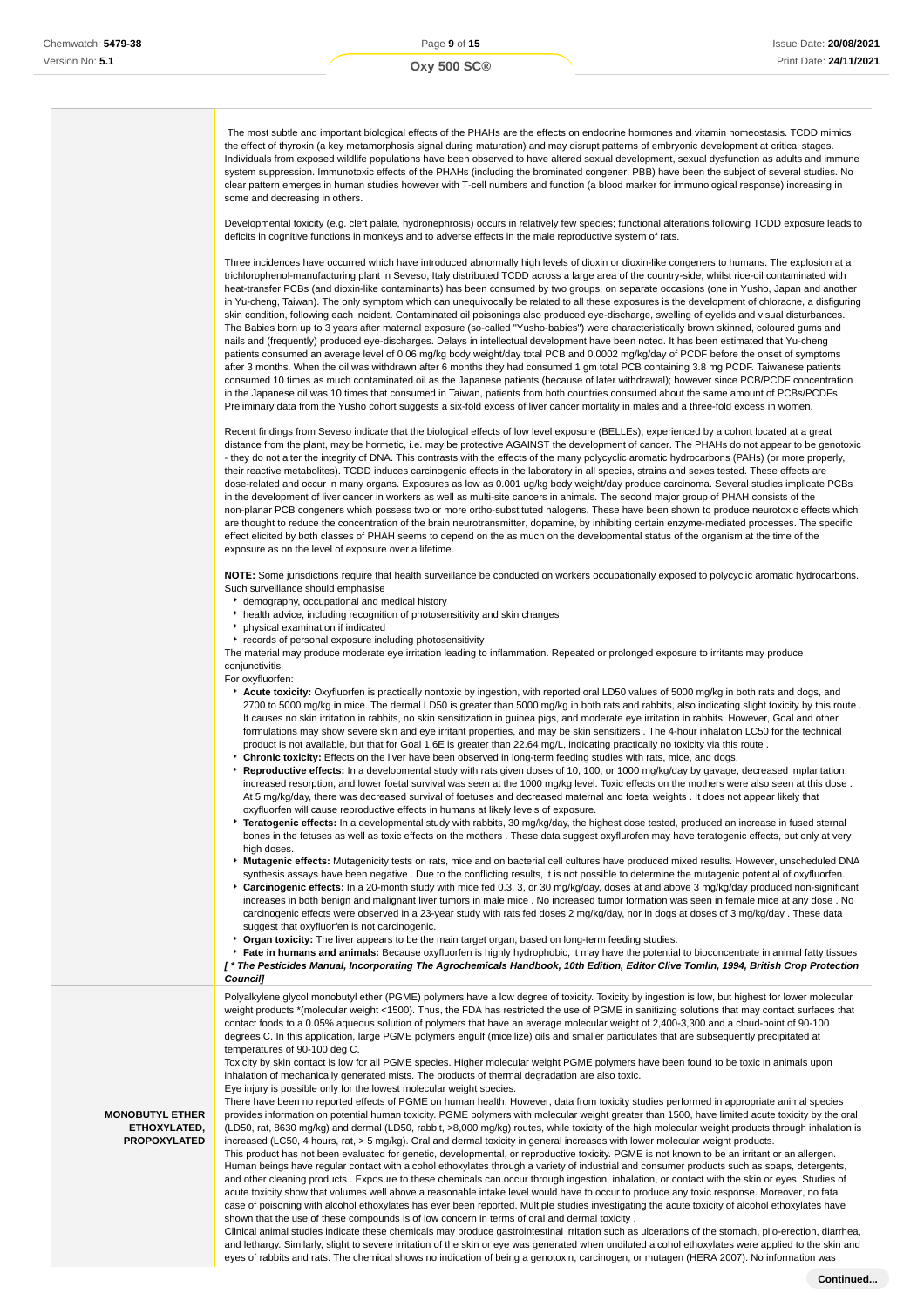The most subtle and important biological effects of the PHAHs are the effects on endocrine hormones and vitamin homeostasis. TCDD mimics the effect of thyroxin (a key metamorphosis signal during maturation) and may disrupt patterns of embryonic development at critical stages. Individuals from exposed wildlife populations have been observed to have altered sexual development, sexual dysfunction as adults and immune system suppression. Immunotoxic effects of the PHAHs (including the brominated congener, PBB) have been the subject of several studies. No clear pattern emerges in human studies however with T-cell numbers and function (a blood marker for immunological response) increasing in some and decreasing in others.

Developmental toxicity (e.g. cleft palate, hydronephrosis) occurs in relatively few species; functional alterations following TCDD exposure leads to deficits in cognitive functions in monkeys and to adverse effects in the male reproductive system of rats.

Three incidences have occurred which have introduced abnormally high levels of dioxin or dioxin-like congeners to humans. The explosion at a trichlorophenol-manufacturing plant in Seveso, Italy distributed TCDD across a large area of the country-side, whilst rice-oil contaminated with heat-transfer PCBs (and dioxin-like contaminants) has been consumed by two groups, on separate occasions (one in Yusho, Japan and another in Yu-cheng, Taiwan). The only symptom which can unequivocally be related to all these exposures is the development of chloracne, a disfiguring skin condition, following each incident. Contaminated oil poisonings also produced eye-discharge, swelling of eyelids and visual disturbances. The Babies born up to 3 years after maternal exposure (so-called "Yusho-babies") were characteristically brown skinned, coloured gums and nails and (frequently) produced eye-discharges. Delays in intellectual development have been noted. It has been estimated that Yu-cheng patients consumed an average level of 0.06 mg/kg body weight/day total PCB and 0.0002 mg/kg/day of PCDF before the onset of symptoms after 3 months. When the oil was withdrawn after 6 months they had consumed 1 gm total PCB containing 3.8 mg PCDF. Taiwanese patients consumed 10 times as much contaminated oil as the Japanese patients (because of later withdrawal); however since PCB/PCDF concentration in the Japanese oil was 10 times that consumed in Taiwan, patients from both countries consumed about the same amount of PCBs/PCDFs. Preliminary data from the Yusho cohort suggests a six-fold excess of liver cancer mortality in males and a three-fold excess in women.

Recent findings from Seveso indicate that the biological effects of low level exposure (BELLEs), experienced by a cohort located at a great distance from the plant, may be hormetic, i.e. may be protective AGAINST the development of cancer. The PHAHs do not appear to be genotoxic - they do not alter the integrity of DNA. This contrasts with the effects of the many polycyclic aromatic hydrocarbons (PAHs) (or more properly, their reactive metabolites). TCDD induces carcinogenic effects in the laboratory in all species, strains and sexes tested. These effects are dose-related and occur in many organs. Exposures as low as 0.001 ug/kg body weight/day produce carcinoma. Several studies implicate PCBs in the development of liver cancer in workers as well as multi-site cancers in animals. The second major group of PHAH consists of the non-planar PCB congeners which possess two or more ortho-substituted halogens. These have been shown to produce neurotoxic effects which are thought to reduce the concentration of the brain neurotransmitter, dopamine, by inhibiting certain enzyme-mediated processes. The specific effect elicited by both classes of PHAH seems to depend on the as much on the developmental status of the organism at the time of the exposure as on the level of exposure over a lifetime.

**NOTE:** Some jurisdictions require that health surveillance be conducted on workers occupationally exposed to polycyclic aromatic hydrocarbons. Such surveillance should emphasise

- demography, occupational and medical history
- health advice, including recognition of photosensitivity and skin changes
- physical examination if indicated
- **F** records of personal exposure including photosensitivity

The material may produce moderate eye irritation leading to inflammation. Repeated or prolonged exposure to irritants may produce conjunctivitis.

For oxyfluorfen:

**MONOBUTYL ETHER ETHOXYLATED, PROPOXYLATED**

- **Acute toxicity:** Oxyfluorfen is practically nontoxic by ingestion, with reported oral LD50 values of 5000 mg/kg in both rats and dogs, and 2700 to 5000 mg/kg in mice. The dermal LD50 is greater than 5000 mg/kg in both rats and rabbits, also indicating slight toxicity by this route . It causes no skin irritation in rabbits, no skin sensitization in guinea pigs, and moderate eye irritation in rabbits. However, Goal and other formulations may show severe skin and eye irritant properties, and may be skin sensitizers . The 4-hour inhalation LC50 for the technical product is not available, but that for Goal 1.6E is greater than 22.64 mg/L, indicating practically no toxicity via this route .
- **Chronic toxicity:** Effects on the liver have been observed in long-term feeding studies with rats, mice, and dogs.
- **Reproductive effects:** In a developmental study with rats given doses of 10, 100, or 1000 mg/kg/day by gavage, decreased implantation, increased resorption, and lower foetal survival was seen at the 1000 mg/kg level. Toxic effects on the mothers were also seen at this dose . At 5 mg/kg/day, there was decreased survival of foetuses and decreased maternal and foetal weights . It does not appear likely that oxyfluorfen will cause reproductive effects in humans at likely levels of exposure.
- **Teratogenic effects:** In a developmental study with rabbits, 30 mg/kg/day, the highest dose tested, produced an increase in fused sternal bones in the fetuses as well as toxic effects on the mothers . These data suggest oxyflurofen may have teratogenic effects, but only at very high doses.
- **Mutagenic effects:** Mutagenicity tests on rats, mice and on bacterial cell cultures have produced mixed results. However, unscheduled DNA synthesis assays have been negative . Due to the conflicting results, it is not possible to determine the mutagenic potential of oxyfluorfen.
- **Carcinogenic effects:** In a 20-month study with mice fed 0.3, 3, or 30 mg/kg/day, doses at and above 3 mg/kg/day produced non-significant increases in both benign and malignant liver tumors in male mice . No increased tumor formation was seen in female mice at any dose . No carcinogenic effects were observed in a 23-year study with rats fed doses 2 mg/kg/day, nor in dogs at doses of 3 mg/kg/day . These data suggest that oxyfluorfen is not carcinogenic.
- **Organ toxicity:** The liver appears to be the main target organ, based on long-term feeding studies.

**Fate in humans and animals:** Because oxyfluorfen is highly hydrophobic, it may have the potential to bioconcentrate in animal fatty tissues **[ \* The Pesticides Manual, Incorporating The Agrochemicals Handbook, 10th Edition, Editor Clive Tomlin, 1994, British Crop Protection Council]**

Polyalkylene glycol monobutyl ether (PGME) polymers have a low degree of toxicity. Toxicity by ingestion is low, but highest for lower molecular weight products \*(molecular weight <1500). Thus, the FDA has restricted the use of PGME in sanitizing solutions that may contact surfaces that contact foods to a 0.05% aqueous solution of polymers that have an average molecular weight of 2,400-3,300 and a cloud-point of 90-100 degrees C. In this application, large PGME polymers engulf (micellize) oils and smaller particulates that are subsequently precipitated at temperatures of 90-100 deg C.

Toxicity by skin contact is low for all PGME species. Higher molecular weight PGME polymers have been found to be toxic in animals upon inhalation of mechanically generated mists. The products of thermal degradation are also toxic.

Eye injury is possible only for the lowest molecular weight species.

There have been no reported effects of PGME on human health. However, data from toxicity studies performed in appropriate animal species provides information on potential human toxicity. PGME polymers with molecular weight greater than 1500, have limited acute toxicity by the oral (LD50, rat, 8630 mg/kg) and dermal (LD50, rabbit, >8,000 mg/kg) routes, while toxicity of the high molecular weight products through inhalation is increased (LC50, 4 hours, rat, > 5 mg/kg). Oral and dermal toxicity in general increases with lower molecular weight products.

This product has not been evaluated for genetic, developmental, or reproductive toxicity. PGME is not known to be an irritant or an allergen. Human beings have regular contact with alcohol ethoxylates through a variety of industrial and consumer products such as soaps, detergents, and other cleaning products . Exposure to these chemicals can occur through ingestion, inhalation, or contact with the skin or eyes. Studies of acute toxicity show that volumes well above a reasonable intake level would have to occur to produce any toxic response. Moreover, no fatal case of poisoning with alcohol ethoxylates has ever been reported. Multiple studies investigating the acute toxicity of alcohol ethoxylates have shown that the use of these compounds is of low concern in terms of oral and dermal toxicity .

Clinical animal studies indicate these chemicals may produce gastrointestinal irritation such as ulcerations of the stomach, pilo-erection, diarrhea, and lethargy. Similarly, slight to severe irritation of the skin or eye was generated when undiluted alcohol ethoxylates were applied to the skin and eyes of rabbits and rats. The chemical shows no indication of being a genotoxin, carcinogen, or mutagen (HERA 2007). No information was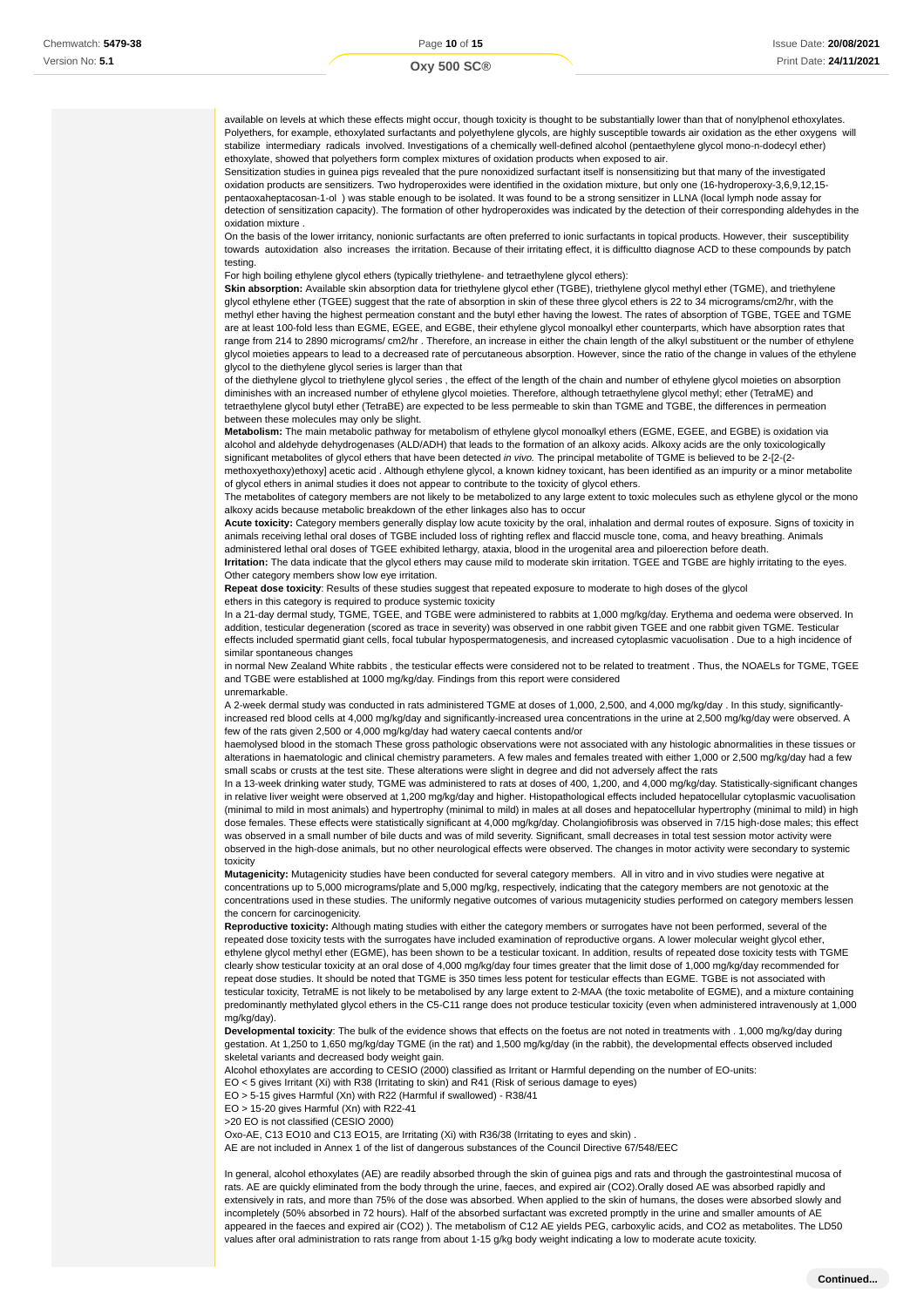available on levels at which these effects might occur, though toxicity is thought to be substantially lower than that of nonylphenol ethoxylates. Polyethers, for example, ethoxylated surfactants and polyethylene glycols, are highly susceptible towards air oxidation as the ether oxygens will stabilize intermediary radicals involved. Investigations of a chemically well-defined alcohol (pentaethylene glycol mono-n-dodecyl ether) ethoxylate, showed that polyethers form complex mixtures of oxidation products when exposed to air.

Sensitization studies in guinea pigs revealed that the pure nonoxidized surfactant itself is nonsensitizing but that many of the investigated oxidation products are sensitizers. Two hydroperoxides were identified in the oxidation mixture, but only one (16-hydroperoxy-3,6,9,12,15 pentaoxaheptacosan-1-ol ) was stable enough to be isolated. It was found to be a strong sensitizer in LLNA (local lymph node assay for detection of sensitization capacity). The formation of other hydroperoxides was indicated by the detection of their corresponding aldehydes in the oxidation mixture .

On the basis of the lower irritancy, nonionic surfactants are often preferred to ionic surfactants in topical products. However, their susceptibility towards autoxidation also increases the irritation. Because of their irritating effect, it is difficultto diagnose ACD to these compounds by patch testing.

For high boiling ethylene glycol ethers (typically triethylene- and tetraethylene glycol ethers):

**Skin absorption:** Available skin absorption data for triethylene glycol ether (TGBE), triethylene glycol methyl ether (TGME), and triethylene glycol ethylene ether (TGEE) suggest that the rate of absorption in skin of these three glycol ethers is 22 to 34 micrograms/cm2/hr, with the methyl ether having the highest permeation constant and the butyl ether having the lowest. The rates of absorption of TGBE, TGEE and TGME are at least 100-fold less than EGME, EGEE, and EGBE, their ethylene glycol monoalkyl ether counterparts, which have absorption rates that range from 214 to 2890 micrograms/ cm2/hr . Therefore, an increase in either the chain length of the alkyl substituent or the number of ethylene glycol moieties appears to lead to a decreased rate of percutaneous absorption. However, since the ratio of the change in values of the ethylene glycol to the diethylene glycol series is larger than that

of the diethylene glycol to triethylene glycol series , the effect of the length of the chain and number of ethylene glycol moieties on absorption diminishes with an increased number of ethylene glycol moieties. Therefore, although tetraethylene glycol methyl; ether (TetraME) and tetraethylene glycol butyl ether (TetraBE) are expected to be less permeable to skin than TGME and TGBE, the differences in permeation between these molecules may only be slight.

**Metabolism:** The main metabolic pathway for metabolism of ethylene glycol monoalkyl ethers (EGME, EGEE, and EGBE) is oxidation via alcohol and aldehyde dehydrogenases (ALD/ADH) that leads to the formation of an alkoxy acids. Alkoxy acids are the only toxicologically significant metabolites of glycol ethers that have been detected in vivo. The principal metabolite of TGME is believed to be 2-[2-(2methoxyethoxy)ethoxy] acetic acid . Although ethylene glycol, a known kidney toxicant, has been identified as an impurity or a minor metabolite

of glycol ethers in animal studies it does not appear to contribute to the toxicity of glycol ethers. The metabolites of category members are not likely to be metabolized to any large extent to toxic molecules such as ethylene glycol or the mono alkoxy acids because metabolic breakdown of the ether linkages also has to occur

**Acute toxicity:** Category members generally display low acute toxicity by the oral, inhalation and dermal routes of exposure. Signs of toxicity in animals receiving lethal oral doses of TGBE included loss of righting reflex and flaccid muscle tone, coma, and heavy breathing. Animals administered lethal oral doses of TGEE exhibited lethargy, ataxia, blood in the urogenital area and piloerection before death.

**Irritation:** The data indicate that the glycol ethers may cause mild to moderate skin irritation. TGEE and TGBE are highly irritating to the eyes. Other category members show low eye irritation.

**Repeat dose toxicity**: Results of these studies suggest that repeated exposure to moderate to high doses of the glycol

ethers in this category is required to produce systemic toxicity

In a 21-day dermal study, TGME, TGEE, and TGBE were administered to rabbits at 1,000 mg/kg/day. Erythema and oedema were observed. In addition, testicular degeneration (scored as trace in severity) was observed in one rabbit given TGEE and one rabbit given TGME. Testicular effects included spermatid giant cells, focal tubular hypospermatogenesis, and increased cytoplasmic vacuolisation . Due to a high incidence of similar spontaneous changes

in normal New Zealand White rabbits , the testicular effects were considered not to be related to treatment . Thus, the NOAELs for TGME, TGEE and TGBE were established at 1000 mg/kg/day. Findings from this report were considered

#### unremarkable.

A 2-week dermal study was conducted in rats administered TGME at doses of 1,000, 2,500, and 4,000 mg/kg/day . In this study, significantlyincreased red blood cells at 4,000 mg/kg/day and significantly-increased urea concentrations in the urine at 2,500 mg/kg/day were observed. A few of the rats given 2,500 or 4,000 mg/kg/day had watery caecal contents and/or

haemolysed blood in the stomach These gross pathologic observations were not associated with any histologic abnormalities in these tissues or alterations in haematologic and clinical chemistry parameters. A few males and females treated with either 1,000 or 2,500 mg/kg/day had a few small scabs or crusts at the test site. These alterations were slight in degree and did not adversely affect the rats

In a 13-week drinking water study, TGME was administered to rats at doses of 400, 1,200, and 4,000 mg/kg/day. Statistically-significant changes in relative liver weight were observed at 1,200 mg/kg/day and higher. Histopathological effects included hepatocellular cytoplasmic vacuolisation (minimal to mild in most animals) and hypertrophy (minimal to mild) in males at all doses and hepatocellular hypertrophy (minimal to mild) in high dose females. These effects were statistically significant at 4,000 mg/kg/day. Cholangiofibrosis was observed in 7/15 high-dose males; this effect was observed in a small number of bile ducts and was of mild severity. Significant, small decreases in total test session motor activity were observed in the high-dose animals, but no other neurological effects were observed. The changes in motor activity were secondary to systemic toxicity

**Mutagenicity:** Mutagenicity studies have been conducted for several category members. All in vitro and in vivo studies were negative at concentrations up to 5,000 micrograms/plate and 5,000 mg/kg, respectively, indicating that the category members are not genotoxic at the concentrations used in these studies. The uniformly negative outcomes of various mutagenicity studies performed on category members lessen the concern for carcinogenicity.

**Reproductive toxicity:** Although mating studies with either the category members or surrogates have not been performed, several of the repeated dose toxicity tests with the surrogates have included examination of reproductive organs. A lower molecular weight glycol ether, ethylene glycol methyl ether (EGME), has been shown to be a testicular toxicant. In addition, results of repeated dose toxicity tests with TGME clearly show testicular toxicity at an oral dose of 4,000 mg/kg/day four times greater that the limit dose of 1,000 mg/kg/day recommended for repeat dose studies. It should be noted that TGME is 350 times less potent for testicular effects than EGME. TGBE is not associated with testicular toxicity, TetraME is not likely to be metabolised by any large extent to 2-MAA (the toxic metabolite of EGME), and a mixture containing predominantly methylated glycol ethers in the C5-C11 range does not produce testicular toxicity (even when administered intravenously at 1,000 mg/kg/day).

**Developmental toxicity**: The bulk of the evidence shows that effects on the foetus are not noted in treatments with . 1,000 mg/kg/day during gestation. At 1,250 to 1,650 mg/kg/day TGME (in the rat) and 1,500 mg/kg/day (in the rabbit), the developmental effects observed included skeletal variants and decreased body weight gain.

Alcohol ethoxylates are according to CESIO (2000) classified as Irritant or Harmful depending on the number of EO-units:

EO < 5 gives Irritant (Xi) with R38 (Irritating to skin) and R41 (Risk of serious damage to eyes)

EO > 5-15 gives Harmful (Xn) with R22 (Harmful if swallowed) - R38/41

EO > 15-20 gives Harmful (Xn) with R22-41

>20 EO is not classified (CESIO 2000)

Oxo-AE, C13 EO10 and C13 EO15, are Irritating (Xi) with R36/38 (Irritating to eyes and skin) .

AE are not included in Annex 1 of the list of dangerous substances of the Council Directive 67/548/EEC

In general, alcohol ethoxylates (AE) are readily absorbed through the skin of guinea pigs and rats and through the gastrointestinal mucosa of rats. AE are quickly eliminated from the body through the urine, faeces, and expired air (CO2).Orally dosed AE was absorbed rapidly and extensively in rats, and more than 75% of the dose was absorbed. When applied to the skin of humans, the doses were absorbed slowly and incompletely (50% absorbed in 72 hours). Half of the absorbed surfactant was excreted promptly in the urine and smaller amounts of AE appeared in the faeces and expired air (CO2) ). The metabolism of C12 AE yields PEG, carboxylic acids, and CO2 as metabolites. The LD50 values after oral administration to rats range from about 1-15 g/kg body weight indicating a low to moderate acute toxicity.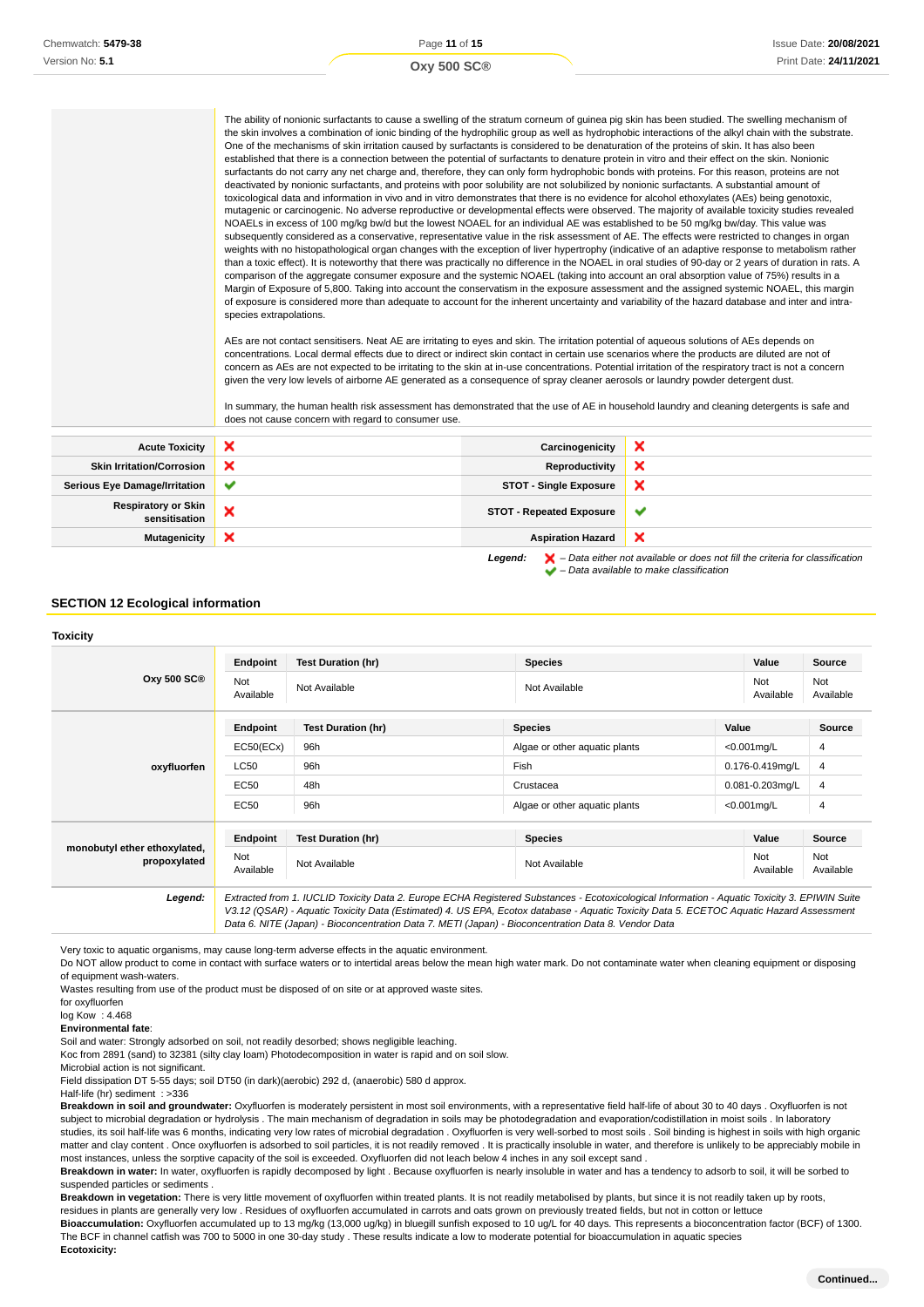Page **11** of **15 Oxy 500 SC®**

| The ability of nonionic surfactants to cause a swelling of the stratum corneum of quinea pig skin has been studied. The swelling mechanism of            |
|----------------------------------------------------------------------------------------------------------------------------------------------------------|
| the skin involves a combination of ionic binding of the hydrophilic group as well as hydrophobic interactions of the alkyl chain with the substrate.     |
| One of the mechanisms of skin irritation caused by surfactants is considered to be denaturation of the proteins of skin. It has also been                |
| established that there is a connection between the potential of surfactants to denature protein in vitro and their effect on the skin. Nonionic          |
| surfactants do not carry any net charge and, therefore, they can only form hydrophobic bonds with proteins. For this reason, proteins are not            |
| deactivated by nonionic surfactants, and proteins with poor solubility are not solubilized by nonionic surfactants. A substantial amount of              |
| toxicological data and information in vivo and in vitro demonstrates that there is no evidence for alcohol ethoxylates (AEs) being genotoxic,            |
| mutagenic or carcinogenic. No adverse reproductive or developmental effects were observed. The majority of available toxicity studies revealed           |
| NOAELs in excess of 100 mg/kg bw/d but the lowest NOAEL for an individual AE was established to be 50 mg/kg bw/day. This value was                       |
| subsequently considered as a conservative, representative value in the risk assessment of AE. The effects were restricted to changes in organ            |
| weights with no histopathological organ changes with the exception of liver hypertrophy (indicative of an adaptive response to metabolism rather         |
| than a toxic effect). It is noteworthy that there was practically no difference in the NOAEL in oral studies of 90-day or 2 years of duration in rats. A |
| comparison of the aggregate consumer exposure and the systemic NOAEL (taking into account an oral absorption value of 75%) results in a                  |
| Margin of Exposure of 5,800. Taking into account the conservatism in the exposure assessment and the assigned systemic NOAEL, this margin                |
| of exposure is considered more than adequate to account for the inherent uncertainty and variability of the hazard database and inter and intra-         |
| species extrapolations.                                                                                                                                  |

AEs are not contact sensitisers. Neat AE are irritating to eyes and skin. The irritation potential of aqueous solutions of AEs depends on concentrations. Local dermal effects due to direct or indirect skin contact in certain use scenarios where the products are diluted are not of concern as AEs are not expected to be irritating to the skin at in-use concentrations. Potential irritation of the respiratory tract is not a concern given the very low levels of airborne AE generated as a consequence of spray cleaner aerosols or laundry powder detergent dust.

In summary, the human health risk assessment has demonstrated that the use of AE in household laundry and cleaning detergents is safe and does not cause concern with regard to consumer use.

| <b>Acute Toxicity</b>                       | ×            | Carcinogenicity                 | ×                                                                                                                                                                   |
|---------------------------------------------|--------------|---------------------------------|---------------------------------------------------------------------------------------------------------------------------------------------------------------------|
| <b>Skin Irritation/Corrosion</b>            | ×            | Reproductivity                  | ×                                                                                                                                                                   |
| <b>Serious Eye Damage/Irritation</b>        | $\checkmark$ | <b>STOT - Single Exposure</b>   | ×                                                                                                                                                                   |
| <b>Respiratory or Skin</b><br>sensitisation | ×            | <b>STOT - Repeated Exposure</b> | $\checkmark$                                                                                                                                                        |
| <b>Mutagenicity</b>                         | ×            | <b>Aspiration Hazard</b>        | ×                                                                                                                                                                   |
|                                             |              | Legend:                         | $\blacktriangleright$ - Data either not available or does not fill the criteria for classification<br>$\blacktriangleright$ - Data available to make classification |

### **SECTION 12 Ecological information**

#### **Toxicity Oxy 500 SC® Endpoint Test Duration (hr) Species Value Source** Not<br>Available Not Not Not Available Not Available Not Available Not Available Not Available Not Available Not Ava Available Not Available **oxyfluorfen Endpoint Test Duration (hr) Species Value Source** EC50(ECx) 96h Algae or other aquatic plants <0.001mg/L 4 LC50 96h Fish 0.176-0.419mg/L 4  $EC50$  48h Crustacea  $0.081-0.203$ mg/L 4 EC50 96h Algae or other aquatic plants <0.001mg/L 4 **monobutyl ether ethoxylated, propoxylated Endpoint Test Duration (hr) Species Value Source** Not Not Not Not Available Not Available Not Available Not Available Not Available Not Available Not Ava Available Not Available **Legend:** Extracted from 1. IUCLID Toxicity Data 2. Europe ECHA Registered Substances - Ecotoxicological Information - Aquatic Toxicity 3. EPIWIN Suite V3.12 (QSAR) - Aquatic Toxicity Data (Estimated) 4. US EPA, Ecotox database - Aquatic Toxicity Data 5. ECETOC Aquatic Hazard Assessment Data 6. NITE (Japan) - Bioconcentration Data 7. METI (Japan) - Bioconcentration Data 8. Vendor Data

Very toxic to aquatic organisms, may cause long-term adverse effects in the aquatic environment.

Do NOT allow product to come in contact with surface waters or to intertidal areas below the mean high water mark. Do not contaminate water when cleaning equipment or disposing of equipment wash-waters.

Wastes resulting from use of the product must be disposed of on site or at approved waste sites.

for oxyfluorfen

log Kow : 4.468

**Environmental fate**:

Soil and water: Strongly adsorbed on soil, not readily desorbed; shows negligible leaching.

Koc from 2891 (sand) to 32381 (silty clay loam) Photodecomposition in water is rapid and on soil slow.

Microbial action is not significant.

Field dissipation DT 5-55 days; soil DT50 (in dark)(aerobic) 292 d, (anaerobic) 580 d approx.

Half-life (hr) sediment : >336

**Breakdown in soil and groundwater:** Oxyfluorfen is moderately persistent in most soil environments, with a representative field half-life of about 30 to 40 days . Oxyfluorfen is not subject to microbial degradation or hydrolysis . The main mechanism of degradation in soils may be photodegradation and evaporation/codistillation in moist soils . In laboratory studies, its soil half-life was 6 months, indicating very low rates of microbial degradation . Oxyfluorfen is very well-sorbed to most soils . Soil binding is highest in soils with high organic matter and clay content . Once oxyfluorfen is adsorbed to soil particles, it is not readily removed . It is practically insoluble in water, and therefore is unlikely to be appreciably mobile in most instances, unless the sorptive capacity of the soil is exceeded. Oxyfluorfen did not leach below 4 inches in any soil except sand .

Breakdown in water: In water, oxyfluorfen is rapidly decomposed by light . Because oxyfluorfen is nearly insoluble in water and has a tendency to adsorb to soil, it will be sorbed to suspended particles or sediments .

**Breakdown in vegetation:** There is very little movement of oxyfluorfen within treated plants. It is not readily metabolised by plants, but since it is not readily taken up by roots, residues in plants are generally very low . Residues of oxyfluorfen accumulated in carrots and oats grown on previously treated fields, but not in cotton or lettuce

Bioaccumulation: Oxyfluorfen accumulated up to 13 mg/kg (13,000 ug/kg) in bluegill sunfish exposed to 10 ug/L for 40 days. This represents a bioconcentration factor (BCF) of 1300. The BCF in channel catfish was 700 to 5000 in one 30-day study . These results indicate a low to moderate potential for bioaccumulation in aquatic species

**Ecotoxicity:**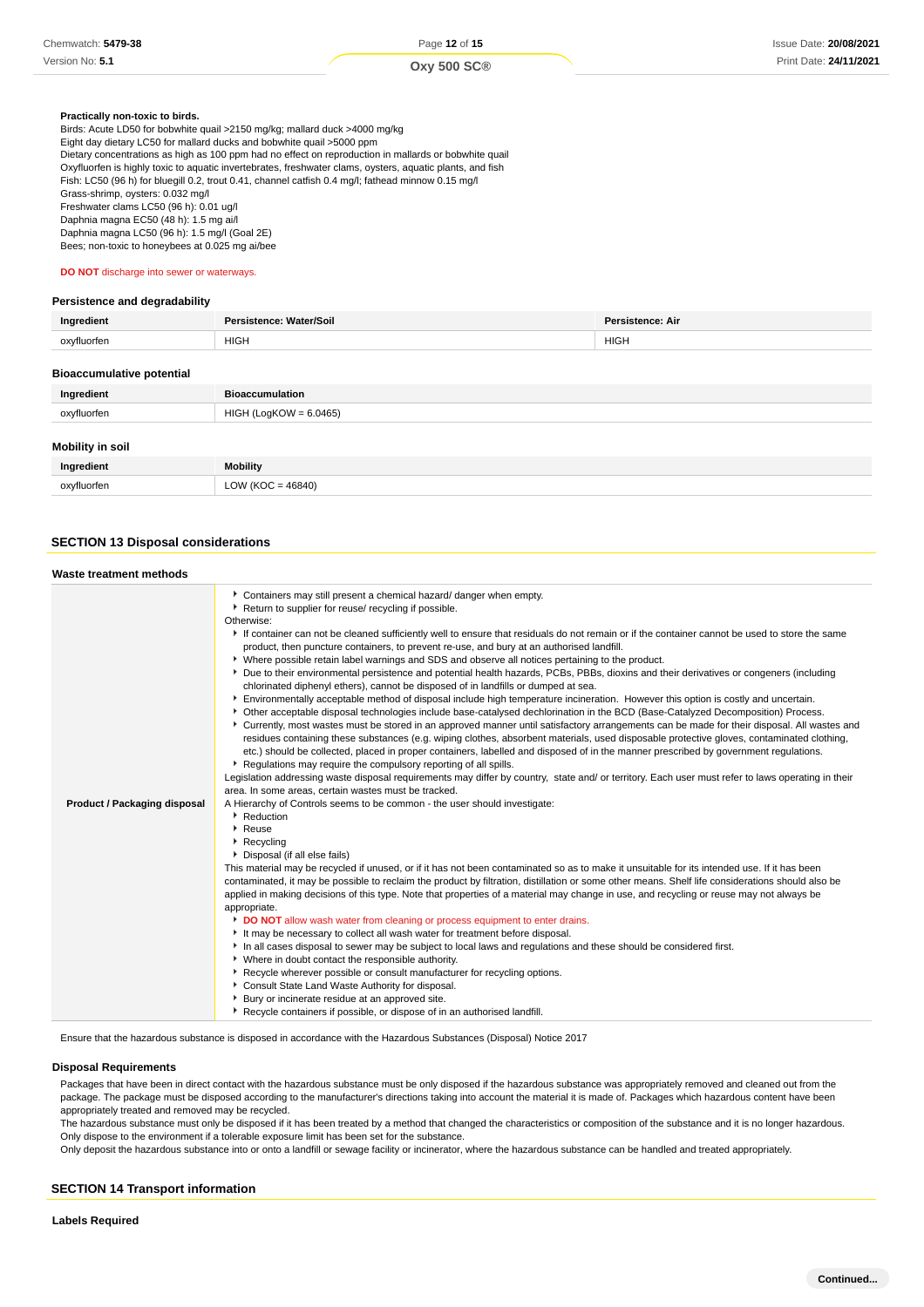#### **Practically non-toxic to birds.**

Birds: Acute LD50 for bobwhite quail >2150 mg/kg; mallard duck >4000 mg/kg Eight day dietary LC50 for mallard ducks and bobwhite quail >5000 ppm Dietary concentrations as high as 100 ppm had no effect on reproduction in mallards or bobwhite quail Oxyfluorfen is highly toxic to aquatic invertebrates, freshwater clams, oysters, aquatic plants, and fish Fish: LC50 (96 h) for bluegill 0.2, trout 0.41, channel catfish 0.4 mg/l; fathead minnow 0.15 mg/l Grass-shrimp, oysters: 0.032 mg/l Freshwater clams LC50 (96 h): 0.01 ug/l Daphnia magna EC50 (48 h): 1.5 mg ai/l Daphnia magna LC50 (96 h): 1.5 mg/l (Goal 2E) Bees; non-toxic to honeybees at 0.025 mg ai/bee

**DO NOT** discharge into sewer or waterways.

#### **Persistence and degradability**

| Ingredient  | Persistence: Water/Soil | <b>Persistence: Air</b> |
|-------------|-------------------------|-------------------------|
| oxyfluorfer | <b>HIGH</b>             | <b>HIGH</b>             |
|             |                         |                         |

#### **Bioaccumulative potential**

| Ingredient              | <b>Bioaccumulation</b> |
|-------------------------|------------------------|
| oxyfluorfen             | HIGH (LogKOW = 6.0465) |
| <b>Mobility in soil</b> |                        |

| Ingredient       | <b>Mobility</b> |
|------------------|-----------------|
| ovvtluorter<br>. | (0.10)          |

## **SECTION 13 Disposal considerations**

| Waste treatment methods             |                                                                                                                                                                                                                                                                                                                                                                                                                                                                                                                                                                                                                                                                                                                                                                                                                                                                                                                                                                                                                                                                                                                                                                                                                                                                                                                                                                                                                                                                                                                                                                                                                                                                                                                                                                                                                                                                                                                                                                                                                                                                                                                                                                                                                                                                                                                                                                                                                                                                                                                                                                                                                                                                                                                                                                                                                                                                                                                                                                                |
|-------------------------------------|--------------------------------------------------------------------------------------------------------------------------------------------------------------------------------------------------------------------------------------------------------------------------------------------------------------------------------------------------------------------------------------------------------------------------------------------------------------------------------------------------------------------------------------------------------------------------------------------------------------------------------------------------------------------------------------------------------------------------------------------------------------------------------------------------------------------------------------------------------------------------------------------------------------------------------------------------------------------------------------------------------------------------------------------------------------------------------------------------------------------------------------------------------------------------------------------------------------------------------------------------------------------------------------------------------------------------------------------------------------------------------------------------------------------------------------------------------------------------------------------------------------------------------------------------------------------------------------------------------------------------------------------------------------------------------------------------------------------------------------------------------------------------------------------------------------------------------------------------------------------------------------------------------------------------------------------------------------------------------------------------------------------------------------------------------------------------------------------------------------------------------------------------------------------------------------------------------------------------------------------------------------------------------------------------------------------------------------------------------------------------------------------------------------------------------------------------------------------------------------------------------------------------------------------------------------------------------------------------------------------------------------------------------------------------------------------------------------------------------------------------------------------------------------------------------------------------------------------------------------------------------------------------------------------------------------------------------------------------------|
| <b>Product / Packaging disposal</b> | Containers may still present a chemical hazard/ danger when empty.<br>Return to supplier for reuse/ recycling if possible.<br>Otherwise:<br>If container can not be cleaned sufficiently well to ensure that residuals do not remain or if the container cannot be used to store the same<br>product, then puncture containers, to prevent re-use, and bury at an authorised landfill.<br>▶ Where possible retain label warnings and SDS and observe all notices pertaining to the product.<br>Due to their environmental persistence and potential health hazards, PCBs, PBBs, dioxins and their derivatives or congeners (including<br>chlorinated diphenyl ethers), cannot be disposed of in landfills or dumped at sea.<br>Environmentally acceptable method of disposal include high temperature incineration. However this option is costly and uncertain.<br>> Other acceptable disposal technologies include base-catalysed dechlorination in the BCD (Base-Catalyzed Decomposition) Process.<br>▶ Currently, most wastes must be stored in an approved manner until satisfactory arrangements can be made for their disposal. All wastes and<br>residues containing these substances (e.g. wiping clothes, absorbent materials, used disposable protective gloves, contaminated clothing,<br>etc.) should be collected, placed in proper containers, labelled and disposed of in the manner prescribed by government regulations.<br>Requiations may require the compulsory reporting of all spills.<br>Legislation addressing waste disposal requirements may differ by country, state and/ or territory. Each user must refer to laws operating in their<br>area. In some areas, certain wastes must be tracked.<br>A Hierarchy of Controls seems to be common - the user should investigate:<br>Reduction<br>$\blacktriangleright$ Reuse<br>Recycling<br>Disposal (if all else fails)<br>This material may be recycled if unused, or if it has not been contaminated so as to make it unsuitable for its intended use. If it has been<br>contaminated, it may be possible to reclaim the product by filtration, distillation or some other means. Shelf life considerations should also be<br>applied in making decisions of this type. Note that properties of a material may change in use, and recycling or reuse may not always be<br>appropriate.<br>DO NOT allow wash water from cleaning or process equipment to enter drains.<br>It may be necessary to collect all wash water for treatment before disposal.<br>In all cases disposal to sewer may be subject to local laws and regulations and these should be considered first.<br>• Where in doubt contact the responsible authority.<br>▶ Recycle wherever possible or consult manufacturer for recycling options.<br>Consult State Land Waste Authority for disposal.<br>Bury or incinerate residue at an approved site.<br>Recycle containers if possible, or dispose of in an authorised landfill. |

Ensure that the hazardous substance is disposed in accordance with the Hazardous Substances (Disposal) Notice 2017

#### **Disposal Requirements**

Packages that have been in direct contact with the hazardous substance must be only disposed if the hazardous substance was appropriately removed and cleaned out from the package. The package must be disposed according to the manufacturer's directions taking into account the material it is made of. Packages which hazardous content have been appropriately treated and removed may be recycled.

The hazardous substance must only be disposed if it has been treated by a method that changed the characteristics or composition of the substance and it is no longer hazardous. Only dispose to the environment if a tolerable exposure limit has been set for the substance.

Only deposit the hazardous substance into or onto a landfill or sewage facility or incinerator, where the hazardous substance can be handled and treated appropriately.

#### **SECTION 14 Transport information**

**Labels Required**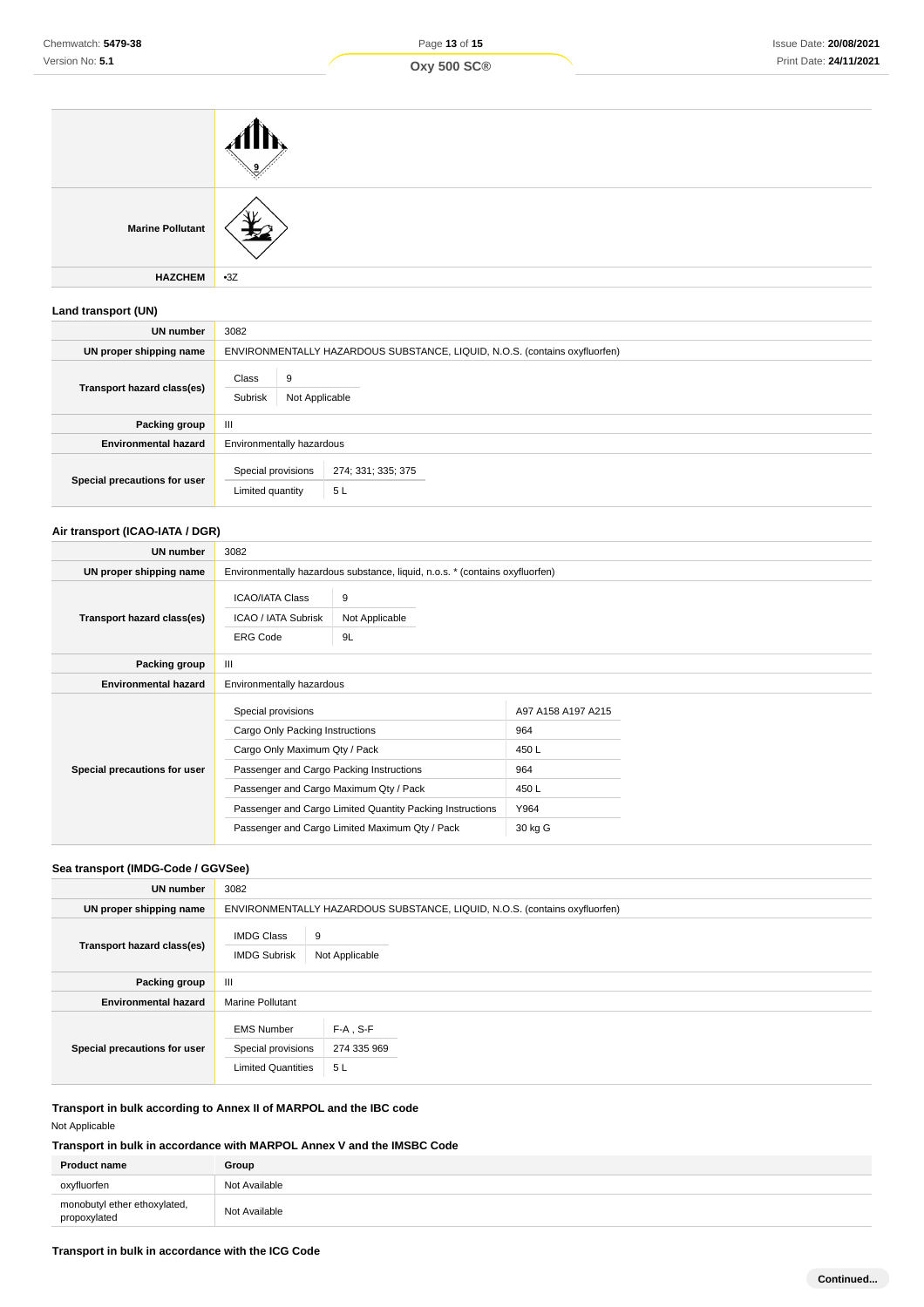| <b>Marine Pollutant</b> |       |
|-------------------------|-------|
| <b>HAZCHEM</b>          | $-3Z$ |

## **Land transport (UN)**

| <b>UN number</b>             | 3082                                                                       |  |  |
|------------------------------|----------------------------------------------------------------------------|--|--|
| UN proper shipping name      | ENVIRONMENTALLY HAZARDOUS SUBSTANCE, LIQUID, N.O.S. (contains oxyfluorfen) |  |  |
| Transport hazard class(es)   | Class<br>9<br>Subrisk<br>Not Applicable                                    |  |  |
| Packing group                | $\mathbf{III}$                                                             |  |  |
| <b>Environmental hazard</b>  | Environmentally hazardous                                                  |  |  |
| Special precautions for user | Special provisions<br>274; 331; 335; 375<br>5L<br>Limited quantity         |  |  |

## **Air transport (ICAO-IATA / DGR)**

| UN number                    | 3082                                                                                                                                                                                                                                                                                        |                                                                              |                                                                     |  |
|------------------------------|---------------------------------------------------------------------------------------------------------------------------------------------------------------------------------------------------------------------------------------------------------------------------------------------|------------------------------------------------------------------------------|---------------------------------------------------------------------|--|
| UN proper shipping name      |                                                                                                                                                                                                                                                                                             | Environmentally hazardous substance, liquid, n.o.s. * (contains oxyfluorfen) |                                                                     |  |
| Transport hazard class(es)   | <b>ICAO/IATA Class</b><br>9<br>ICAO / IATA Subrisk<br>Not Applicable<br><b>ERG Code</b><br>9L                                                                                                                                                                                               |                                                                              |                                                                     |  |
| Packing group                | $\mathbf{III}$                                                                                                                                                                                                                                                                              |                                                                              |                                                                     |  |
| <b>Environmental hazard</b>  |                                                                                                                                                                                                                                                                                             | Environmentally hazardous                                                    |                                                                     |  |
| Special precautions for user | Special provisions<br>Cargo Only Packing Instructions<br>Cargo Only Maximum Qty / Pack<br>Passenger and Cargo Packing Instructions<br>Passenger and Cargo Maximum Qty / Pack<br>Passenger and Cargo Limited Quantity Packing Instructions<br>Passenger and Cargo Limited Maximum Qty / Pack |                                                                              | A97 A158 A197 A215<br>964<br>450L<br>964<br>450L<br>Y964<br>30 kg G |  |

## **Sea transport (IMDG-Code / GGVSee)**

| UN number                    | 3082                                                                 |                                                                            |
|------------------------------|----------------------------------------------------------------------|----------------------------------------------------------------------------|
| UN proper shipping name      |                                                                      | ENVIRONMENTALLY HAZARDOUS SUBSTANCE, LIQUID, N.O.S. (contains oxyfluorfen) |
| Transport hazard class(es)   | <b>IMDG Class</b><br><b>IMDG Subrisk</b>                             | 9<br>Not Applicable                                                        |
| Packing group                | Ш                                                                    |                                                                            |
| <b>Environmental hazard</b>  | <b>Marine Pollutant</b>                                              |                                                                            |
| Special precautions for user | <b>EMS Number</b><br>Special provisions<br><b>Limited Quantities</b> | $F-A$ , S-F<br>274 335 969<br>5L                                           |

**Transport in bulk according to Annex II of MARPOL and the IBC code**

Not Applicable

## **Transport in bulk in accordance with MARPOL Annex V and the IMSBC Code**

| <b>Product name</b>                          | Group         |
|----------------------------------------------|---------------|
| oxyfluorfen                                  | Not Available |
| monobutyl ether ethoxylated,<br>propoxylated | Not Available |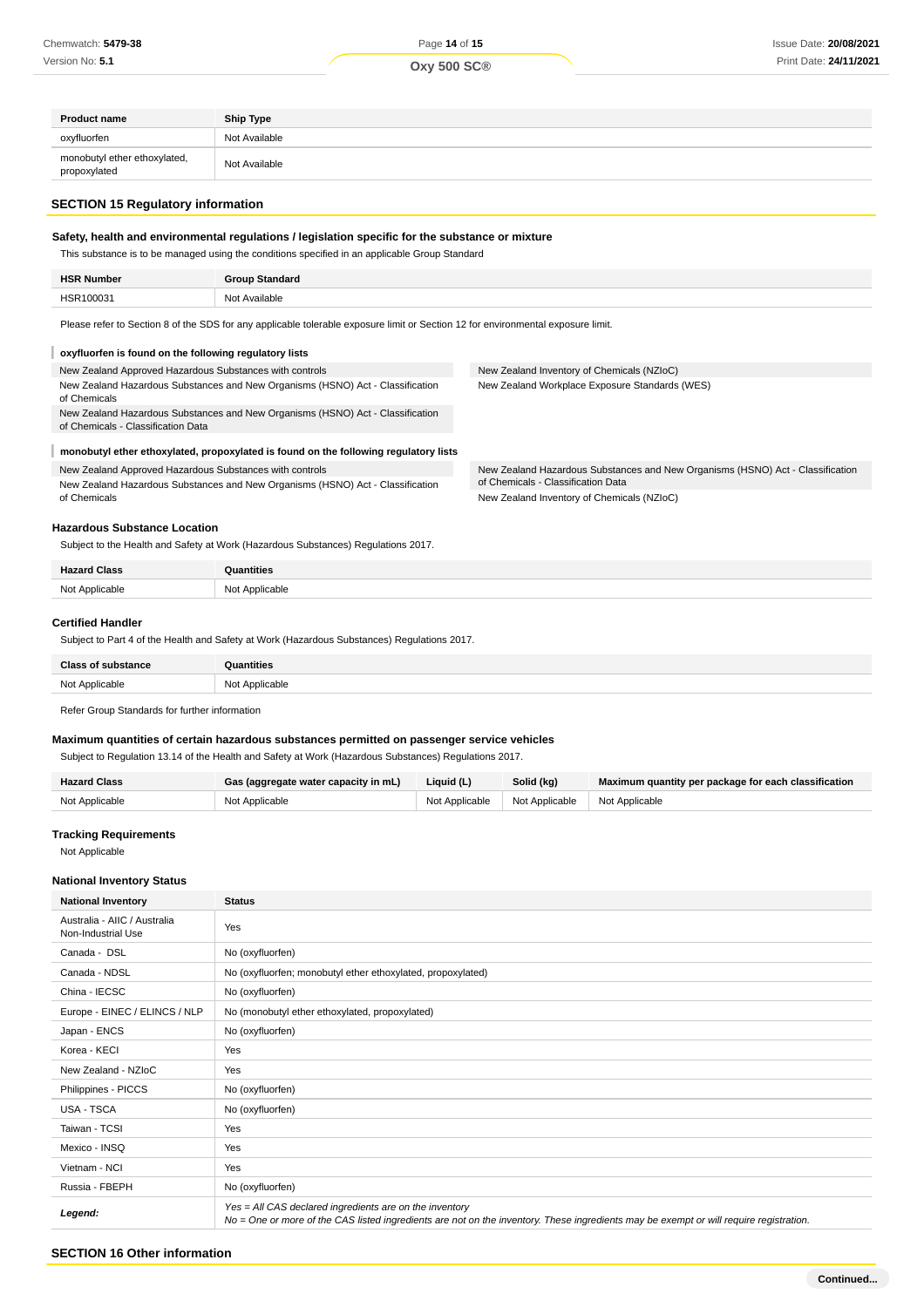| <b>Product name</b>                          | <b>Ship Type</b> |
|----------------------------------------------|------------------|
| oxyfluorfen                                  | Not Available    |
| monobutyl ether ethoxylated,<br>propoxylated | Not Available    |

#### **SECTION 15 Regulatory information**

## **Safety, health and environmental regulations / legislation specific for the substance or mixture**

This substance is to be managed using the conditions specified in an applicable Group Standard

| <b>HSR Number</b>          | Group Standard   |
|----------------------------|------------------|
| HS <sup>r</sup><br>3100031 | Not<br>Available |
|                            |                  |

New Zealand Inventory of Chemicals (NZIoC) New Zealand Workplace Exposure Standards (WES)

of Chemicals - Classification Data New Zealand Inventory of Chemicals (NZIoC)

New Zealand Hazardous Substances and New Organisms (HSNO) Act - Classification

Please refer to Section 8 of the SDS for any applicable tolerable exposure limit or Section 12 for environmental exposure limit.

#### I **oxyfluorfen is found on the following regulatory lists**

New Zealand Approved Hazardous Substances with controls New Zealand Hazardous Substances and New Organisms (HSNO) Act - Classification of Chemicals

New Zealand Hazardous Substances and New Organisms (HSNO) Act - Classification of Chemicals - Classification Data

#### **monobutyl ether ethoxylated, propoxylated is found on the following regulatory lists**

New Zealand Approved Hazardous Substances with controls

New Zealand Hazardous Substances and New Organisms (HSNO) Act - Classification of Chemicals

#### **Hazardous Substance Location**

Subject to the Health and Safety at Work (Hazardous Substances) Regulations 2017.

| <b>Hazard Class</b> | ıntities                          |
|---------------------|-----------------------------------|
| Not Applicable<br>  | Applicable<br>N <sub>N</sub><br>. |

#### **Certified Handler**

Subject to Part 4 of the Health and Safety at Work (Hazardous Substances) Regulations 2017.

| <b>Class of substance</b> | Quantities     |
|---------------------------|----------------|
| Not Applicable            | Not Applicable |
|                           |                |

Refer Group Standards for further information

#### **Maximum quantities of certain hazardous substances permitted on passenger service vehicles**

Subject to Regulation 13.14 of the Health and Safety at Work (Hazardous Substances) Regulations 2017.

| <b>Hazard Class</b> | Gas (aggregate water capacity in mL) | Liquid (L)     | Solid (kg)                    | Maximum quantity per package for each classification |
|---------------------|--------------------------------------|----------------|-------------------------------|------------------------------------------------------|
| Not Applicable      | Not Applicable                       | Not Applicable | Not Applicable Not Applicable |                                                      |

#### **Tracking Requirements**

Not Applicable

#### **National Inventory Status**

| <b>National Inventory</b>                          | <b>Status</b>                                                                                                                                                                                     |
|----------------------------------------------------|---------------------------------------------------------------------------------------------------------------------------------------------------------------------------------------------------|
| Australia - AIIC / Australia<br>Non-Industrial Use | Yes                                                                                                                                                                                               |
| Canada - DSL                                       | No (oxyfluorfen)                                                                                                                                                                                  |
| Canada - NDSL                                      | No (oxyfluorfen; monobutyl ether ethoxylated, propoxylated)                                                                                                                                       |
| China - IECSC                                      | No (oxyfluorfen)                                                                                                                                                                                  |
| Europe - EINEC / ELINCS / NLP                      | No (monobutyl ether ethoxylated, propoxylated)                                                                                                                                                    |
| Japan - ENCS                                       | No (oxyfluorfen)                                                                                                                                                                                  |
| Korea - KECI                                       | Yes                                                                                                                                                                                               |
| New Zealand - NZIoC                                | Yes                                                                                                                                                                                               |
| Philippines - PICCS                                | No (oxyfluorfen)                                                                                                                                                                                  |
| <b>USA - TSCA</b>                                  | No (oxyfluorfen)                                                                                                                                                                                  |
| Taiwan - TCSI                                      | Yes                                                                                                                                                                                               |
| Mexico - INSQ                                      | Yes                                                                                                                                                                                               |
| Vietnam - NCI                                      | Yes                                                                                                                                                                                               |
| Russia - FBEPH                                     | No (oxyfluorfen)                                                                                                                                                                                  |
| Legend:                                            | Yes = All CAS declared ingredients are on the inventory<br>No = One or more of the CAS listed ingredients are not on the inventory. These ingredients may be exempt or will require registration. |